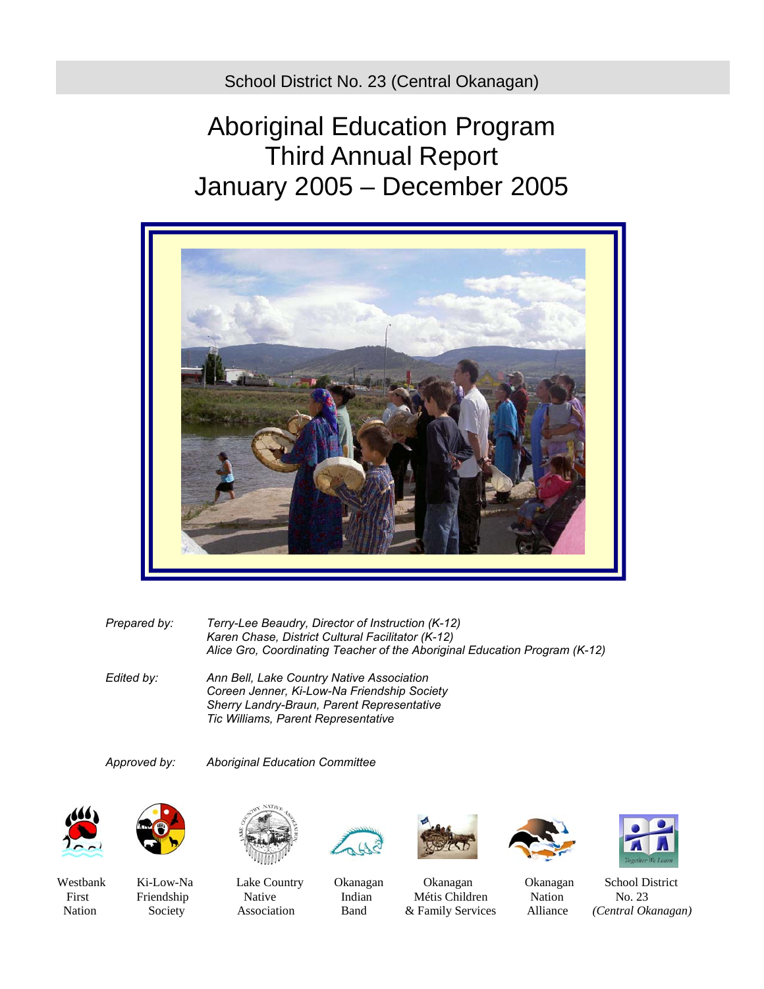School District No. 23 (Central Okanagan)

# Aboriginal Education Program Third Annual Report January 2005 – December 2005



*Prepared by: Terry-Lee Beaudry, Director of Instruction (K-12) Karen Chase, District Cultural Facilitator (K-12) Alice Gro, Coordinating Teacher of the Aboriginal Education Program (K-12)* 

*Edited by: Ann Bell, Lake Country Native Association Coreen Jenner, Ki-Low-Na Friendship Society Sherry Landry-Braun, Parent Representative Tic Williams, Parent Representative* 

*Approved by: Aboriginal Education Committee* 













First Friendship Native Indian Métis Children Nation No. 23





Westbank Ki-Low-Na Lake Country Okanagan Okanagan Okanagan School District Nation Society Association Band & Family Services Alliance *(Central Okanagan)*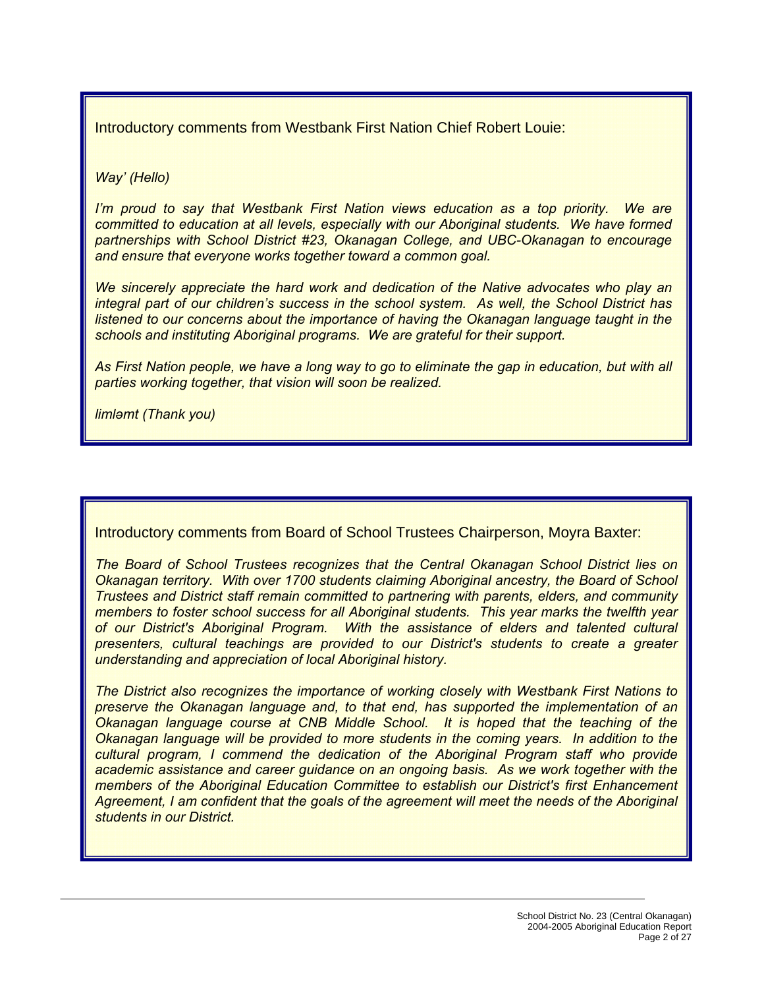Introductory comments from Westbank First Nation Chief Robert Louie:

*Way' (Hello)* 

*I'm proud to say that Westbank First Nation views education as a top priority. We are committed to education at all levels, especially with our Aboriginal students. We have formed partnerships with School District #23, Okanagan College, and UBC-Okanagan to encourage and ensure that everyone works together toward a common goal.* 

*We sincerely appreciate the hard work and dedication of the Native advocates who play an integral part of our children's success in the school system. As well, the School District has listened to our concerns about the importance of having the Okanagan language taught in the schools and instituting Aboriginal programs. We are grateful for their support.* 

*As First Nation people, we have a long way to go to eliminate the gap in education, but with all parties working together, that vision will soon be realized.* 

*limləmt (Thank you)* 

Introductory comments from Board of School Trustees Chairperson, Moyra Baxter:

*The Board of School Trustees recognizes that the Central Okanagan School District lies on Okanagan territory. With over 1700 students claiming Aboriginal ancestry, the Board of School Trustees and District staff remain committed to partnering with parents, elders, and community members to foster school success for all Aboriginal students. This year marks the twelfth year of our District's Aboriginal Program. With the assistance of elders and talented cultural presenters, cultural teachings are provided to our District's students to create a greater understanding and appreciation of local Aboriginal history.* 

*The District also recognizes the importance of working closely with Westbank First Nations to preserve the Okanagan language and, to that end, has supported the implementation of an Okanagan language course at CNB Middle School. It is hoped that the teaching of the Okanagan language will be provided to more students in the coming years. In addition to the cultural program, I commend the dedication of the Aboriginal Program staff who provide academic assistance and career guidance on an ongoing basis. As we work together with the members of the Aboriginal Education Committee to establish our District's first Enhancement Agreement, I am confident that the goals of the agreement will meet the needs of the Aboriginal students in our District.*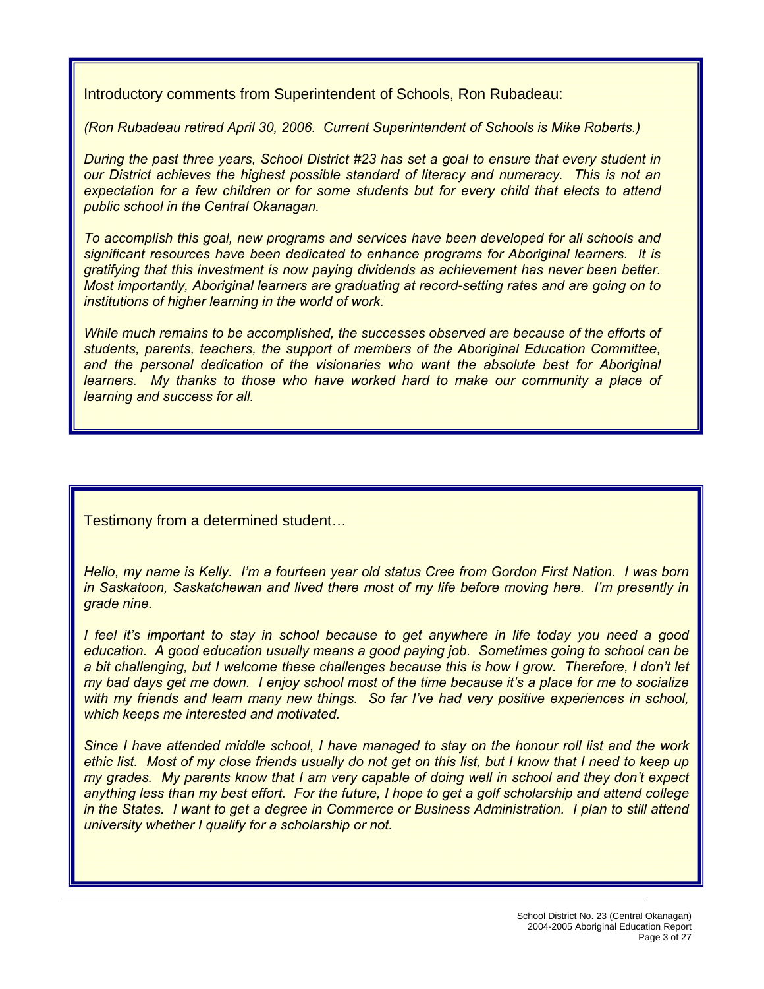Introductory comments from Superintendent of Schools, Ron Rubadeau:

*(Ron Rubadeau retired April 30, 2006. Current Superintendent of Schools is Mike Roberts.)* 

*During the past three years, School District #23 has set a goal to ensure that every student in our District achieves the highest possible standard of literacy and numeracy. This is not an expectation for a few children or for some students but for every child that elects to attend public school in the Central Okanagan.* 

*To accomplish this goal, new programs and services have been developed for all schools and significant resources have been dedicated to enhance programs for Aboriginal learners. It is gratifying that this investment is now paying dividends as achievement has never been better. Most importantly, Aboriginal learners are graduating at record-setting rates and are going on to institutions of higher learning in the world of work.* 

*While much remains to be accomplished, the successes observed are because of the efforts of students, parents, teachers, the support of members of the Aboriginal Education Committee,*  and the personal dedication of the visionaries who want the absolute best for Aboriginal learners. My thanks to those who have worked hard to make our community a place of *learning and success for all.* 

Testimony from a determined student…

*Hello, my name is Kelly. I'm a fourteen year old status Cree from Gordon First Nation. I was born in Saskatoon, Saskatchewan and lived there most of my life before moving here. I'm presently in grade nine.* 

*I feel it's important to stay in school because to get anywhere in life today you need a good education. A good education usually means a good paying job. Sometimes going to school can be a bit challenging, but I welcome these challenges because this is how I grow. Therefore, I don't let my bad days get me down. I enjoy school most of the time because it's a place for me to socialize with my friends and learn many new things. So far I've had very positive experiences in school, which keeps me interested and motivated.* 

*Since I have attended middle school, I have managed to stay on the honour roll list and the work ethic list. Most of my close friends usually do not get on this list, but I know that I need to keep up my grades. My parents know that I am very capable of doing well in school and they don't expect anything less than my best effort. For the future, I hope to get a golf scholarship and attend college in the States. I want to get a degree in Commerce or Business Administration. I plan to still attend university whether I qualify for a scholarship or not.*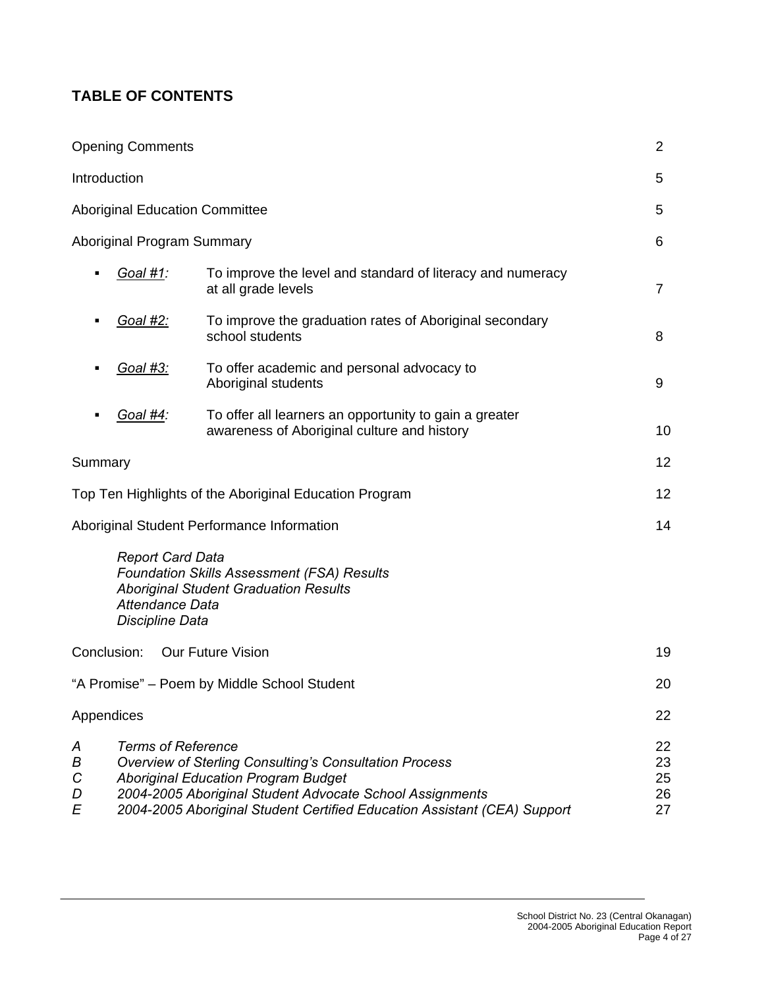# **TABLE OF CONTENTS**

|                       | <b>Opening Comments</b>                                              |                                                                                                                                                                                                                                                     | 2                          |
|-----------------------|----------------------------------------------------------------------|-----------------------------------------------------------------------------------------------------------------------------------------------------------------------------------------------------------------------------------------------------|----------------------------|
|                       | Introduction                                                         |                                                                                                                                                                                                                                                     | 5                          |
|                       | <b>Aboriginal Education Committee</b>                                |                                                                                                                                                                                                                                                     | 5                          |
|                       | Aboriginal Program Summary                                           |                                                                                                                                                                                                                                                     | 6                          |
|                       | Goal #1:                                                             | To improve the level and standard of literacy and numeracy<br>at all grade levels                                                                                                                                                                   | $\overline{7}$             |
|                       | <u>Goal #2:</u>                                                      | To improve the graduation rates of Aboriginal secondary<br>school students                                                                                                                                                                          | 8                          |
|                       | <u>Goal #3:</u>                                                      | To offer academic and personal advocacy to<br>Aboriginal students                                                                                                                                                                                   | 9                          |
|                       | <u>Goal #4:</u>                                                      | To offer all learners an opportunity to gain a greater<br>awareness of Aboriginal culture and history                                                                                                                                               | 10                         |
| Summary               |                                                                      |                                                                                                                                                                                                                                                     | 12                         |
|                       |                                                                      | Top Ten Highlights of the Aboriginal Education Program                                                                                                                                                                                              | 12                         |
|                       |                                                                      | Aboriginal Student Performance Information                                                                                                                                                                                                          | 14                         |
|                       | <b>Report Card Data</b><br>Attendance Data<br><b>Discipline Data</b> | <b>Foundation Skills Assessment (FSA) Results</b><br><b>Aboriginal Student Graduation Results</b>                                                                                                                                                   |                            |
|                       | Conclusion:                                                          | Our Future Vision                                                                                                                                                                                                                                   | 19                         |
|                       |                                                                      | "A Promise" - Poem by Middle School Student                                                                                                                                                                                                         | 20                         |
|                       | Appendices                                                           |                                                                                                                                                                                                                                                     | 22                         |
| Α<br>В<br>C<br>D<br>E | <b>Terms of Reference</b>                                            | <b>Overview of Sterling Consulting's Consultation Process</b><br><b>Aboriginal Education Program Budget</b><br>2004-2005 Aboriginal Student Advocate School Assignments<br>2004-2005 Aboriginal Student Certified Education Assistant (CEA) Support | 22<br>23<br>25<br>26<br>27 |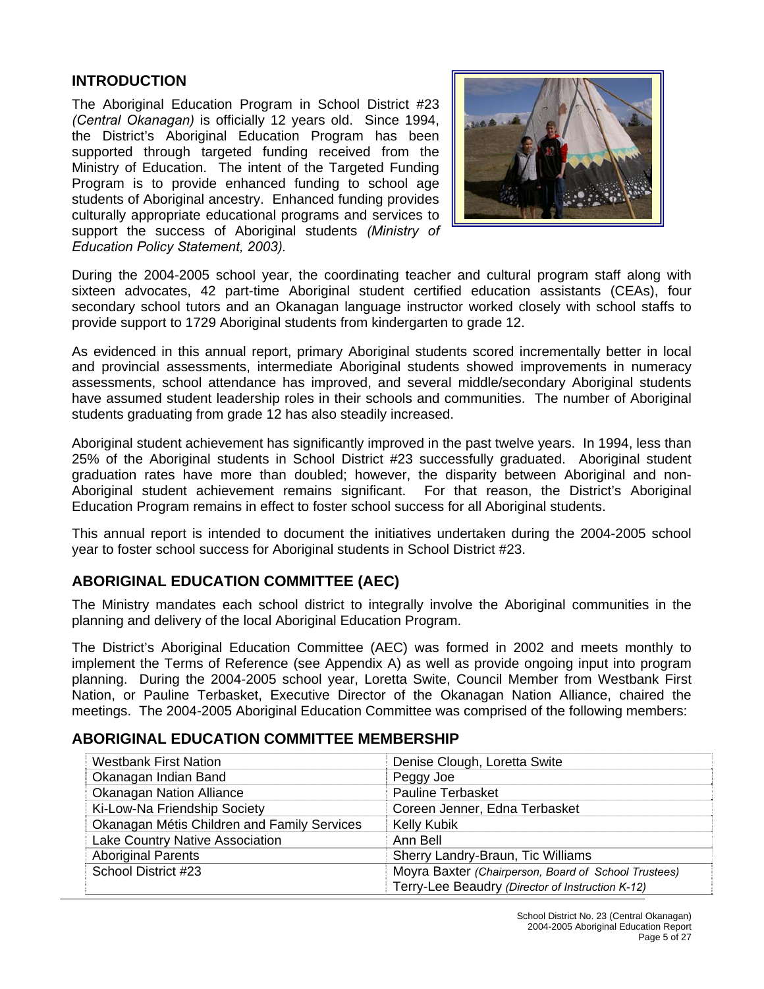#### **INTRODUCTION**

The Aboriginal Education Program in School District #23 *(Central Okanagan)* is officially 12 years old. Since 1994, the District's Aboriginal Education Program has been supported through targeted funding received from the Ministry of Education. The intent of the Targeted Funding Program is to provide enhanced funding to school age students of Aboriginal ancestry. Enhanced funding provides culturally appropriate educational programs and services to support the success of Aboriginal students *(Ministry of Education Policy Statement, 2003).* 



During the 2004-2005 school year, the coordinating teacher and cultural program staff along with sixteen advocates, 42 part-time Aboriginal student certified education assistants (CEAs), four secondary school tutors and an Okanagan language instructor worked closely with school staffs to provide support to 1729 Aboriginal students from kindergarten to grade 12.

As evidenced in this annual report, primary Aboriginal students scored incrementally better in local and provincial assessments, intermediate Aboriginal students showed improvements in numeracy assessments, school attendance has improved, and several middle/secondary Aboriginal students have assumed student leadership roles in their schools and communities. The number of Aboriginal students graduating from grade 12 has also steadily increased.

Aboriginal student achievement has significantly improved in the past twelve years. In 1994, less than 25% of the Aboriginal students in School District #23 successfully graduated. Aboriginal student graduation rates have more than doubled; however, the disparity between Aboriginal and non-Aboriginal student achievement remains significant. For that reason, the District's Aboriginal Education Program remains in effect to foster school success for all Aboriginal students.

This annual report is intended to document the initiatives undertaken during the 2004-2005 school year to foster school success for Aboriginal students in School District #23.

#### **ABORIGINAL EDUCATION COMMITTEE (AEC)**

The Ministry mandates each school district to integrally involve the Aboriginal communities in the planning and delivery of the local Aboriginal Education Program.

The District's Aboriginal Education Committee (AEC) was formed in 2002 and meets monthly to implement the Terms of Reference (see Appendix A) as well as provide ongoing input into program planning. During the 2004-2005 school year, Loretta Swite, Council Member from Westbank First Nation, or Pauline Terbasket, Executive Director of the Okanagan Nation Alliance, chaired the meetings. The 2004-2005 Aboriginal Education Committee was comprised of the following members:

#### **ABORIGINAL EDUCATION COMMITTEE MEMBERSHIP**

| <b>Westbank First Nation</b>                | Denise Clough, Loretta Swite                         |
|---------------------------------------------|------------------------------------------------------|
| Okanagan Indian Band                        | Peggy Joe                                            |
| <b>Okanagan Nation Alliance</b>             | <b>Pauline Terbasket</b>                             |
| Ki-Low-Na Friendship Society                | Coreen Jenner, Edna Terbasket                        |
| Okanagan Métis Children and Family Services | <b>Kelly Kubik</b>                                   |
| Lake Country Native Association             | Ann Bell                                             |
| <b>Aboriginal Parents</b>                   | Sherry Landry-Braun, Tic Williams                    |
| School District #23                         | Moyra Baxter (Chairperson, Board of School Trustees) |
|                                             | Terry-Lee Beaudry (Director of Instruction K-12)     |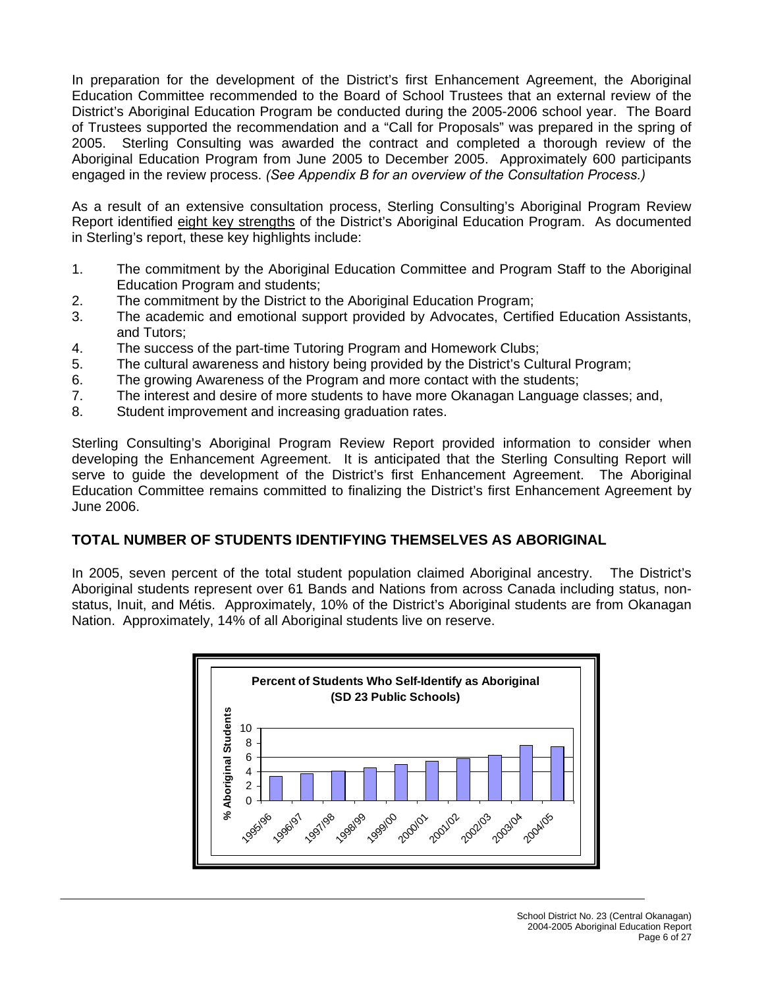In preparation for the development of the District's first Enhancement Agreement, the Aboriginal Education Committee recommended to the Board of School Trustees that an external review of the District's Aboriginal Education Program be conducted during the 2005-2006 school year. The Board of Trustees supported the recommendation and a "Call for Proposals" was prepared in the spring of 2005. Sterling Consulting was awarded the contract and completed a thorough review of the Aboriginal Education Program from June 2005 to December 2005. Approximately 600 participants engaged in the review process. *(See Appendix B for an overview of the Consultation Process.)* 

As a result of an extensive consultation process, Sterling Consulting's Aboriginal Program Review Report identified eight key strengths of the District's Aboriginal Education Program. As documented in Sterling's report, these key highlights include:

- 1. The commitment by the Aboriginal Education Committee and Program Staff to the Aboriginal Education Program and students;
- 2. The commitment by the District to the Aboriginal Education Program;
- 3. The academic and emotional support provided by Advocates, Certified Education Assistants, and Tutors;
- 4. The success of the part-time Tutoring Program and Homework Clubs;
- 5. The cultural awareness and history being provided by the District's Cultural Program;
- 6. The growing Awareness of the Program and more contact with the students;
- 7. The interest and desire of more students to have more Okanagan Language classes; and,
- 8. Student improvement and increasing graduation rates.

Sterling Consulting's Aboriginal Program Review Report provided information to consider when developing the Enhancement Agreement. It is anticipated that the Sterling Consulting Report will serve to guide the development of the District's first Enhancement Agreement. The Aboriginal Education Committee remains committed to finalizing the District's first Enhancement Agreement by June 2006.

#### **TOTAL NUMBER OF STUDENTS IDENTIFYING THEMSELVES AS ABORIGINAL**

In 2005, seven percent of the total student population claimed Aboriginal ancestry. The District's Aboriginal students represent over 61 Bands and Nations from across Canada including status, nonstatus, Inuit, and Métis. Approximately, 10% of the District's Aboriginal students are from Okanagan Nation. Approximately, 14% of all Aboriginal students live on reserve.

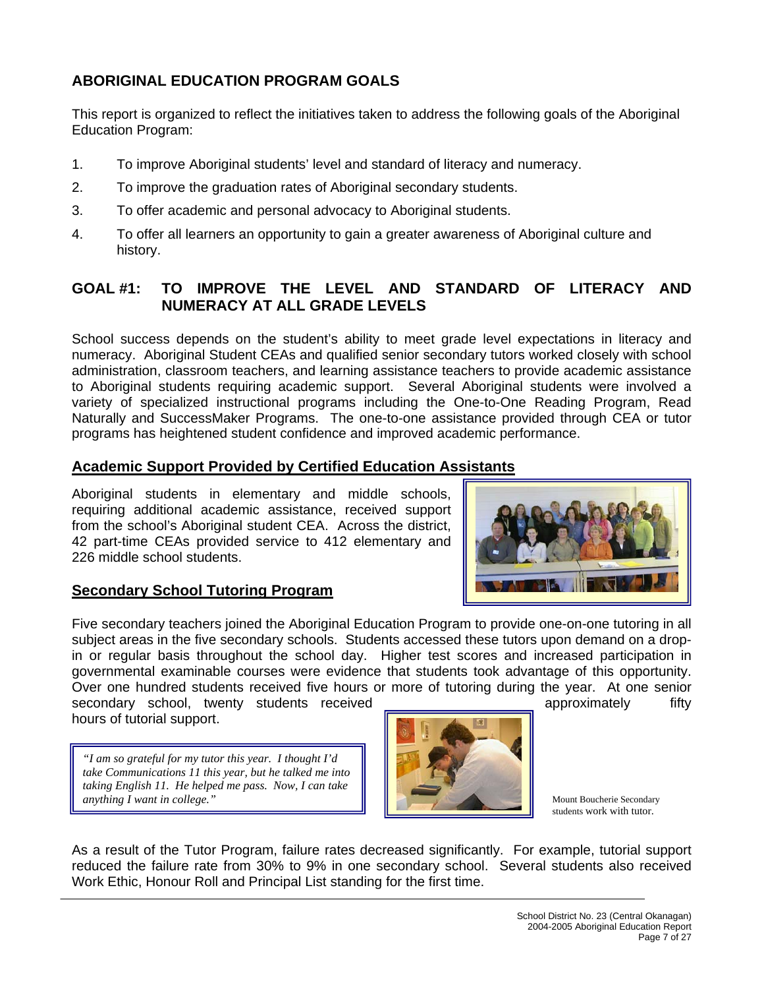# **ABORIGINAL EDUCATION PROGRAM GOALS**

This report is organized to reflect the initiatives taken to address the following goals of the Aboriginal Education Program:

- 1. To improve Aboriginal students' level and standard of literacy and numeracy.
- 2. To improve the graduation rates of Aboriginal secondary students.
- 3. To offer academic and personal advocacy to Aboriginal students.
- 4. To offer all learners an opportunity to gain a greater awareness of Aboriginal culture and history.

# **GOAL #1: TO IMPROVE THE LEVEL AND STANDARD OF LITERACY AND NUMERACY AT ALL GRADE LEVELS**

School success depends on the student's ability to meet grade level expectations in literacy and numeracy. Aboriginal Student CEAs and qualified senior secondary tutors worked closely with school administration, classroom teachers, and learning assistance teachers to provide academic assistance to Aboriginal students requiring academic support. Several Aboriginal students were involved a variety of specialized instructional programs including the One-to-One Reading Program, Read Naturally and SuccessMaker Programs. The one-to-one assistance provided through CEA or tutor programs has heightened student confidence and improved academic performance.

#### **Academic Support Provided by Certified Education Assistants**

Aboriginal students in elementary and middle schools, requiring additional academic assistance, received support from the school's Aboriginal student CEA. Across the district, 42 part-time CEAs provided service to 412 elementary and 226 middle school students.

#### **Secondary School Tutoring Program**

Five secondary teachers joined the Aboriginal Education Program to provide one-on-one tutoring in all subject areas in the five secondary schools. Students accessed these tutors upon demand on a dropin or regular basis throughout the school day. Higher test scores and increased participation in governmental examinable courses were evidence that students took advantage of this opportunity. Over one hundred students received five hours or more of tutoring during the year. At one senior secondary school, twenty students received and approximately fifty

hours of tutorial support.

*"I am so grateful for my tutor this year. I thought I'd take Communications 11 this year, but he talked me into taking English 11. He helped me pass. Now, I can take anything I want in college."* 



Mount Boucherie Secondary students work with tutor.

As a result of the Tutor Program, failure rates decreased significantly. For example, tutorial support reduced the failure rate from 30% to 9% in one secondary school. Several students also received Work Ethic, Honour Roll and Principal List standing for the first time.

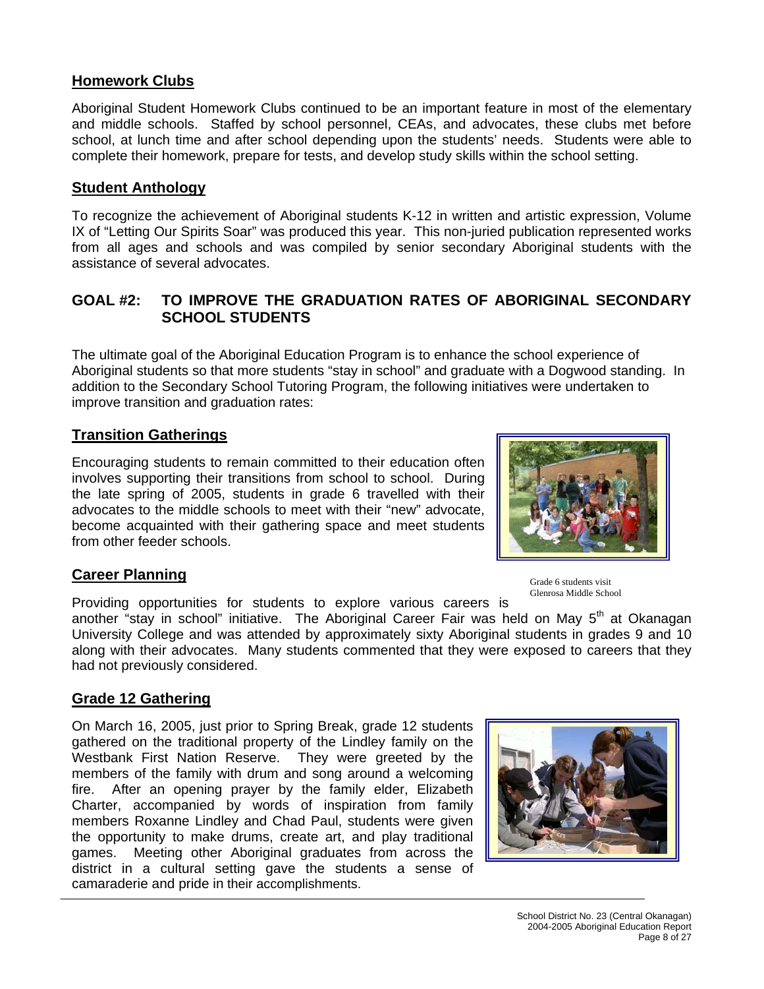#### **Homework Clubs**

Aboriginal Student Homework Clubs continued to be an important feature in most of the elementary and middle schools. Staffed by school personnel, CEAs, and advocates, these clubs met before school, at lunch time and after school depending upon the students' needs. Students were able to complete their homework, prepare for tests, and develop study skills within the school setting.

#### **Student Anthology**

To recognize the achievement of Aboriginal students K-12 in written and artistic expression, Volume IX of "Letting Our Spirits Soar" was produced this year. This non-juried publication represented works from all ages and schools and was compiled by senior secondary Aboriginal students with the assistance of several advocates.

#### **GOAL #2: TO IMPROVE THE GRADUATION RATES OF ABORIGINAL SECONDARY SCHOOL STUDENTS**

The ultimate goal of the Aboriginal Education Program is to enhance the school experience of Aboriginal students so that more students "stay in school" and graduate with a Dogwood standing. In addition to the Secondary School Tutoring Program, the following initiatives were undertaken to improve transition and graduation rates:

#### **Transition Gatherings**

Encouraging students to remain committed to their education often involves supporting their transitions from school to school. During the late spring of 2005, students in grade 6 travelled with their advocates to the middle schools to meet with their "new" advocate, become acquainted with their gathering space and meet students from other feeder schools.

Grade 6 students visit Glenrosa Middle School

#### **Career Planning**

Providing opportunities for students to explore various careers is

another "stay in school" initiative. The Aboriginal Career Fair was held on May  $5<sup>th</sup>$  at Okanagan University College and was attended by approximately sixty Aboriginal students in grades 9 and 10 along with their advocates. Many students commented that they were exposed to careers that they had not previously considered.

#### **Grade 12 Gathering**

On March 16, 2005, just prior to Spring Break, grade 12 students gathered on the traditional property of the Lindley family on the Westbank First Nation Reserve. They were greeted by the members of the family with drum and song around a welcoming fire. After an opening prayer by the family elder, Elizabeth Charter, accompanied by words of inspiration from family members Roxanne Lindley and Chad Paul, students were given the opportunity to make drums, create art, and play traditional games. Meeting other Aboriginal graduates from across the district in a cultural setting gave the students a sense of camaraderie and pride in their accomplishments.

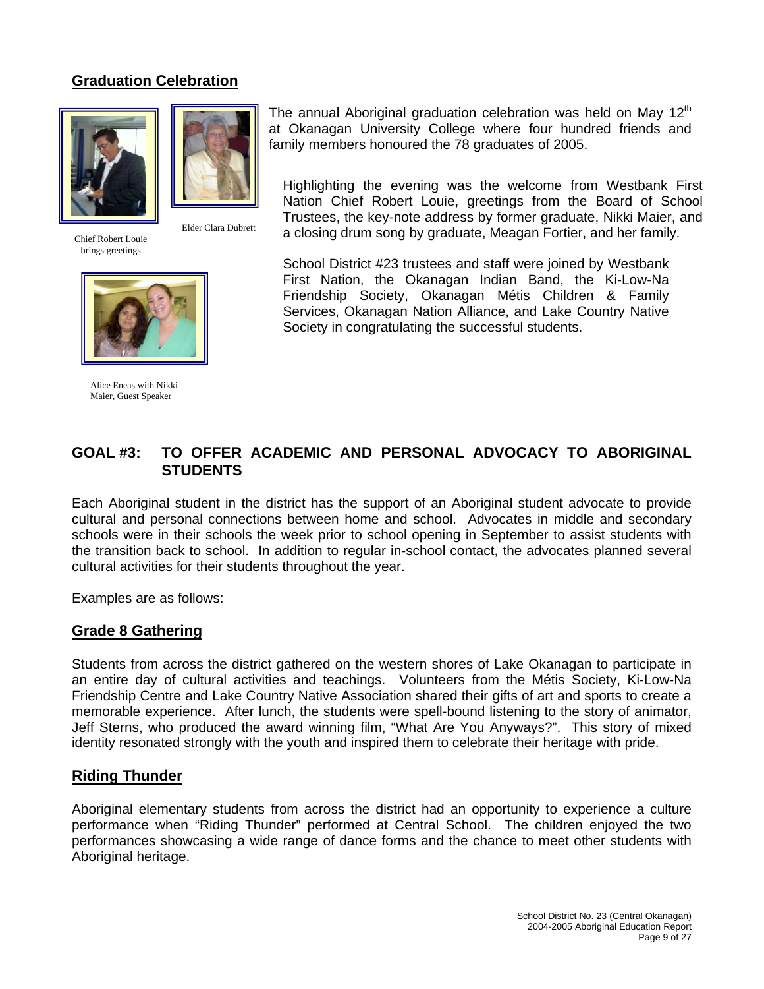# **Graduation Celebration**





Chief Robert Louie brings greetings





Alice Eneas with Nikki Maier, Guest Speaker

The annual Aboriginal graduation celebration was held on May  $12<sup>th</sup>$ at Okanagan University College where four hundred friends and family members honoured the 78 graduates of 2005.

Highlighting the evening was the welcome from Westbank First Nation Chief Robert Louie, greetings from the Board of School Trustees, the key-note address by former graduate, Nikki Maier, and a closing drum song by graduate, Meagan Fortier, and her family.

School District #23 trustees and staff were joined by Westbank First Nation, the Okanagan Indian Band, the Ki-Low-Na Friendship Society, Okanagan Métis Children & Family Services, Okanagan Nation Alliance, and Lake Country Native Society in congratulating the successful students.

# **GOAL #3: TO OFFER ACADEMIC AND PERSONAL ADVOCACY TO ABORIGINAL STUDENTS**

Each Aboriginal student in the district has the support of an Aboriginal student advocate to provide cultural and personal connections between home and school. Advocates in middle and secondary schools were in their schools the week prior to school opening in September to assist students with the transition back to school. In addition to regular in-school contact, the advocates planned several cultural activities for their students throughout the year.

Examples are as follows:

#### **Grade 8 Gathering**

Students from across the district gathered on the western shores of Lake Okanagan to participate in an entire day of cultural activities and teachings. Volunteers from the Métis Society, Ki-Low-Na Friendship Centre and Lake Country Native Association shared their gifts of art and sports to create a memorable experience. After lunch, the students were spell-bound listening to the story of animator, Jeff Sterns, who produced the award winning film, "What Are You Anyways?". This story of mixed identity resonated strongly with the youth and inspired them to celebrate their heritage with pride.

#### **Riding Thunder**

Aboriginal elementary students from across the district had an opportunity to experience a culture performance when "Riding Thunder" performed at Central School. The children enjoyed the two performances showcasing a wide range of dance forms and the chance to meet other students with Aboriginal heritage.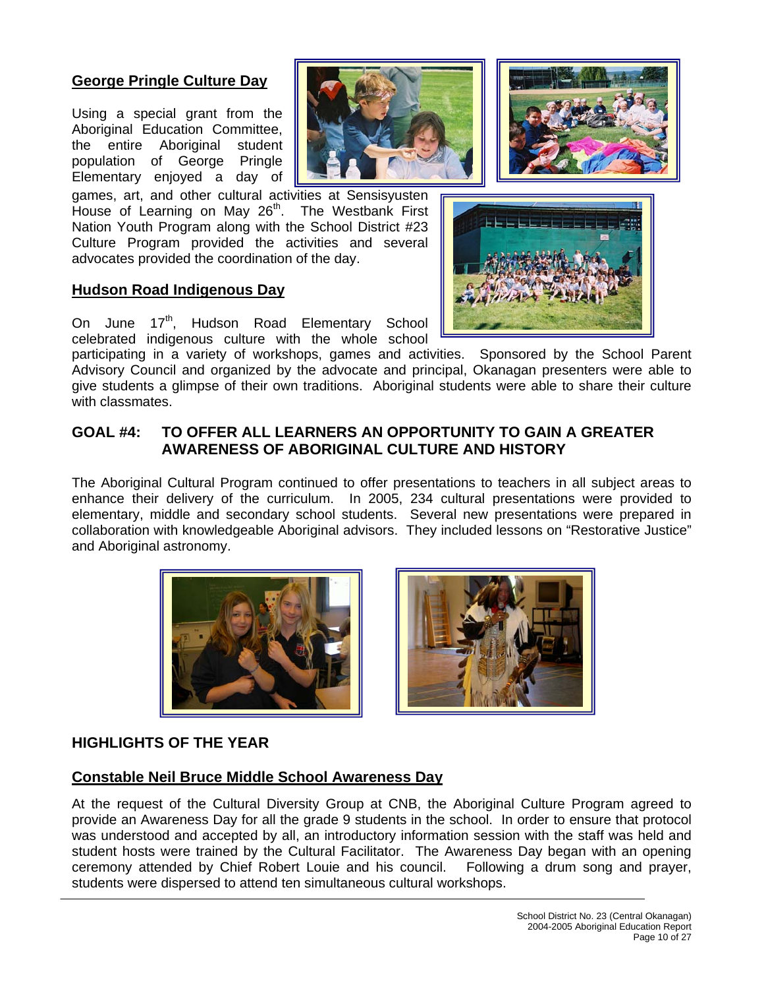#### **George Pringle Culture Day**

Using a special grant from the Aboriginal Education Committee, the entire Aboriginal student population of George Pringle Elementary enjoyed a day of

games, art, and other cultural activities at Sensisyusten House of Learning on May 26<sup>th</sup>. The Westbank First Nation Youth Program along with the School District #23 Culture Program provided the activities and several advocates provided the coordination of the day.

#### **Hudson Road Indigenous Day**

On June 17<sup>th</sup>, Hudson Road Elementary School celebrated indigenous culture with the whole school

participating in a variety of workshops, games and activities. Sponsored by the School Parent Advisory Council and organized by the advocate and principal, Okanagan presenters were able to give students a glimpse of their own traditions. Aboriginal students were able to share their culture with classmates.

#### **GOAL #4: TO OFFER ALL LEARNERS AN OPPORTUNITY TO GAIN A GREATER AWARENESS OF ABORIGINAL CULTURE AND HISTORY**

The Aboriginal Cultural Program continued to offer presentations to teachers in all subject areas to enhance their delivery of the curriculum. In 2005, 234 cultural presentations were provided to elementary, middle and secondary school students. Several new presentations were prepared in collaboration with knowledgeable Aboriginal advisors. They included lessons on "Restorative Justice" and Aboriginal astronomy.





#### **HIGHLIGHTS OF THE YEAR**

#### **Constable Neil Bruce Middle School Awareness Day**

At the request of the Cultural Diversity Group at CNB, the Aboriginal Culture Program agreed to provide an Awareness Day for all the grade 9 students in the school. In order to ensure that protocol was understood and accepted by all, an introductory information session with the staff was held and student hosts were trained by the Cultural Facilitator. The Awareness Day began with an opening ceremony attended by Chief Robert Louie and his council. Following a drum song and prayer, students were dispersed to attend ten simultaneous cultural workshops.



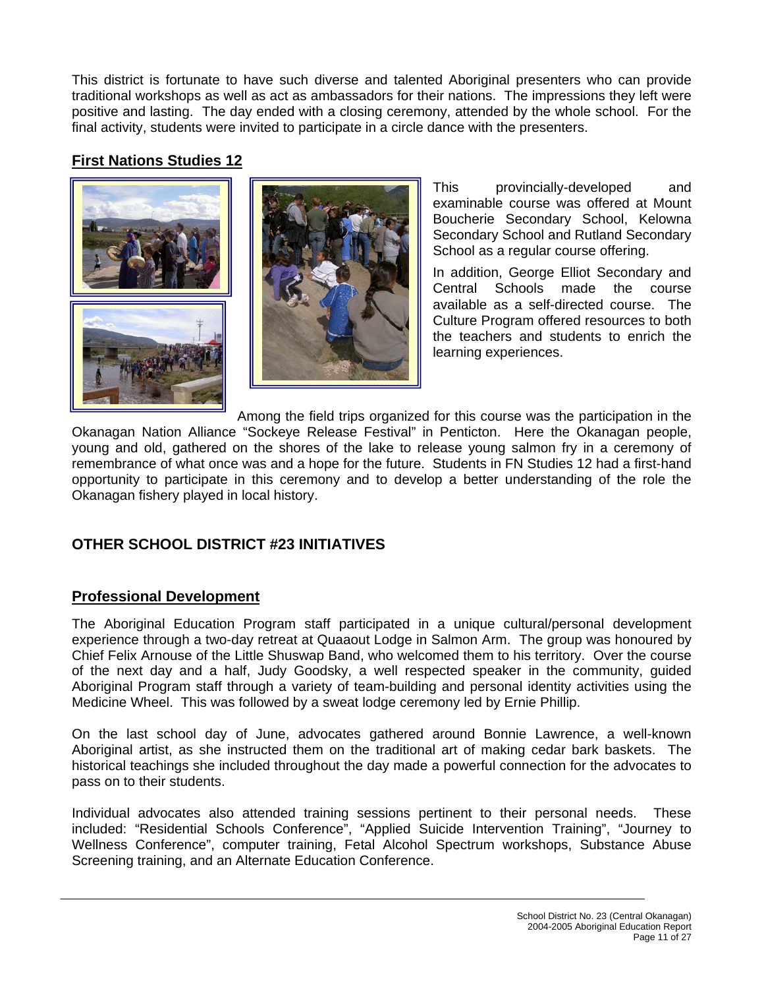This district is fortunate to have such diverse and talented Aboriginal presenters who can provide traditional workshops as well as act as ambassadors for their nations. The impressions they left were positive and lasting. The day ended with a closing ceremony, attended by the whole school. For the final activity, students were invited to participate in a circle dance with the presenters.

# **First Nations Studies 12**





This provincially-developed and examinable course was offered at Mount Boucherie Secondary School, Kelowna Secondary School and Rutland Secondary School as a regular course offering.

In addition, George Elliot Secondary and Central Schools made the course available as a self-directed course. The Culture Program offered resources to both the teachers and students to enrich the learning experiences.

Among the field trips organized for this course was the participation in the Okanagan Nation Alliance "Sockeye Release Festival" in Penticton. Here the Okanagan people, young and old, gathered on the shores of the lake to release young salmon fry in a ceremony of remembrance of what once was and a hope for the future. Students in FN Studies 12 had a first-hand opportunity to participate in this ceremony and to develop a better understanding of the role the Okanagan fishery played in local history.

# **OTHER SCHOOL DISTRICT #23 INITIATIVES**

# **Professional Development**

The Aboriginal Education Program staff participated in a unique cultural/personal development experience through a two-day retreat at Quaaout Lodge in Salmon Arm. The group was honoured by Chief Felix Arnouse of the Little Shuswap Band, who welcomed them to his territory. Over the course of the next day and a half, Judy Goodsky, a well respected speaker in the community, guided Aboriginal Program staff through a variety of team-building and personal identity activities using the Medicine Wheel. This was followed by a sweat lodge ceremony led by Ernie Phillip.

On the last school day of June, advocates gathered around Bonnie Lawrence, a well-known Aboriginal artist, as she instructed them on the traditional art of making cedar bark baskets. The historical teachings she included throughout the day made a powerful connection for the advocates to pass on to their students.

Individual advocates also attended training sessions pertinent to their personal needs. These included: "Residential Schools Conference", "Applied Suicide Intervention Training", "Journey to Wellness Conference", computer training, Fetal Alcohol Spectrum workshops, Substance Abuse Screening training, and an Alternate Education Conference.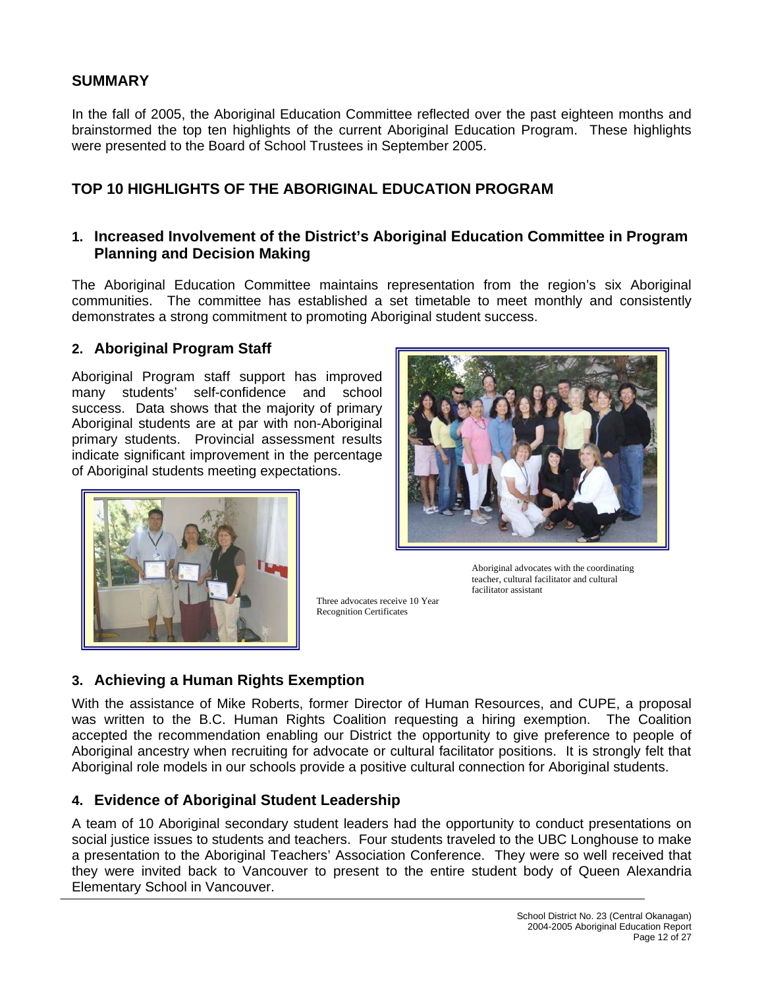#### **SUMMARY**

In the fall of 2005, the Aboriginal Education Committee reflected over the past eighteen months and brainstormed the top ten highlights of the current Aboriginal Education Program. These highlights were presented to the Board of School Trustees in September 2005.

#### **TOP 10 HIGHLIGHTS OF THE ABORIGINAL EDUCATION PROGRAM**

#### **1. Increased Involvement of the District's Aboriginal Education Committee in Program Planning and Decision Making**

The Aboriginal Education Committee maintains representation from the region's six Aboriginal communities. The committee has established a set timetable to meet monthly and consistently demonstrates a strong commitment to promoting Aboriginal student success.

#### **2. Aboriginal Program Staff**

Aboriginal Program staff support has improved many students' self-confidence and school success. Data shows that the majority of primary Aboriginal students are at par with non-Aboriginal primary students. Provincial assessment results indicate significant improvement in the percentage of Aboriginal students meeting expectations.





Three advocates receive 10 Year Recognition Certificates

Aboriginal advocates with the coordinating teacher, cultural facilitator and cultural facilitator assistant

# **3. Achieving a Human Rights Exemption**

With the assistance of Mike Roberts, former Director of Human Resources, and CUPE, a proposal was written to the B.C. Human Rights Coalition requesting a hiring exemption. The Coalition accepted the recommendation enabling our District the opportunity to give preference to people of Aboriginal ancestry when recruiting for advocate or cultural facilitator positions. It is strongly felt that Aboriginal role models in our schools provide a positive cultural connection for Aboriginal students.

#### **4. Evidence of Aboriginal Student Leadership**

A team of 10 Aboriginal secondary student leaders had the opportunity to conduct presentations on social justice issues to students and teachers. Four students traveled to the UBC Longhouse to make a presentation to the Aboriginal Teachers' Association Conference. They were so well received that they were invited back to Vancouver to present to the entire student body of Queen Alexandria Elementary School in Vancouver.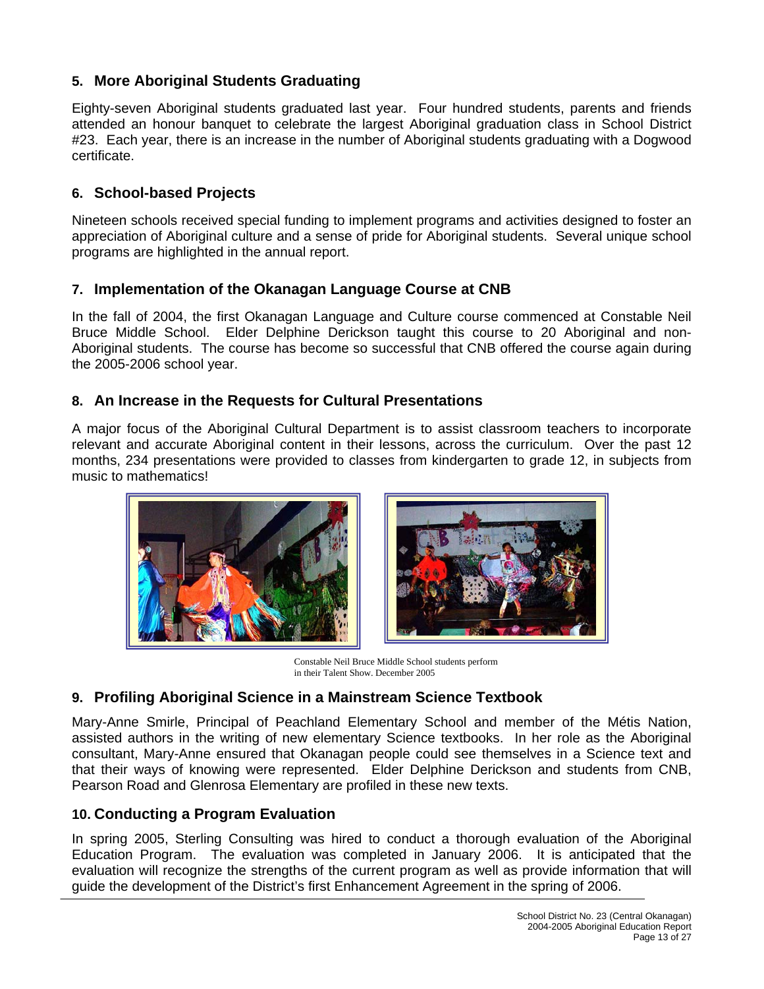# **5. More Aboriginal Students Graduating**

Eighty-seven Aboriginal students graduated last year. Four hundred students, parents and friends attended an honour banquet to celebrate the largest Aboriginal graduation class in School District #23. Each year, there is an increase in the number of Aboriginal students graduating with a Dogwood certificate.

# **6. School-based Projects**

Nineteen schools received special funding to implement programs and activities designed to foster an appreciation of Aboriginal culture and a sense of pride for Aboriginal students. Several unique school programs are highlighted in the annual report.

### **7. Implementation of the Okanagan Language Course at CNB**

In the fall of 2004, the first Okanagan Language and Culture course commenced at Constable Neil Bruce Middle School. Elder Delphine Derickson taught this course to 20 Aboriginal and non-Aboriginal students. The course has become so successful that CNB offered the course again during the 2005-2006 school year.

### **8. An Increase in the Requests for Cultural Presentations**

A major focus of the Aboriginal Cultural Department is to assist classroom teachers to incorporate relevant and accurate Aboriginal content in their lessons, across the curriculum. Over the past 12 months, 234 presentations were provided to classes from kindergarten to grade 12, in subjects from music to mathematics!



Constable Neil Bruce Middle School students perform in their Talent Show. December 2005

# **9. Profiling Aboriginal Science in a Mainstream Science Textbook**

Mary-Anne Smirle, Principal of Peachland Elementary School and member of the Métis Nation, assisted authors in the writing of new elementary Science textbooks. In her role as the Aboriginal consultant, Mary-Anne ensured that Okanagan people could see themselves in a Science text and that their ways of knowing were represented. Elder Delphine Derickson and students from CNB, Pearson Road and Glenrosa Elementary are profiled in these new texts.

# **10. Conducting a Program Evaluation**

In spring 2005, Sterling Consulting was hired to conduct a thorough evaluation of the Aboriginal Education Program. The evaluation was completed in January 2006. It is anticipated that the evaluation will recognize the strengths of the current program as well as provide information that will guide the development of the District's first Enhancement Agreement in the spring of 2006.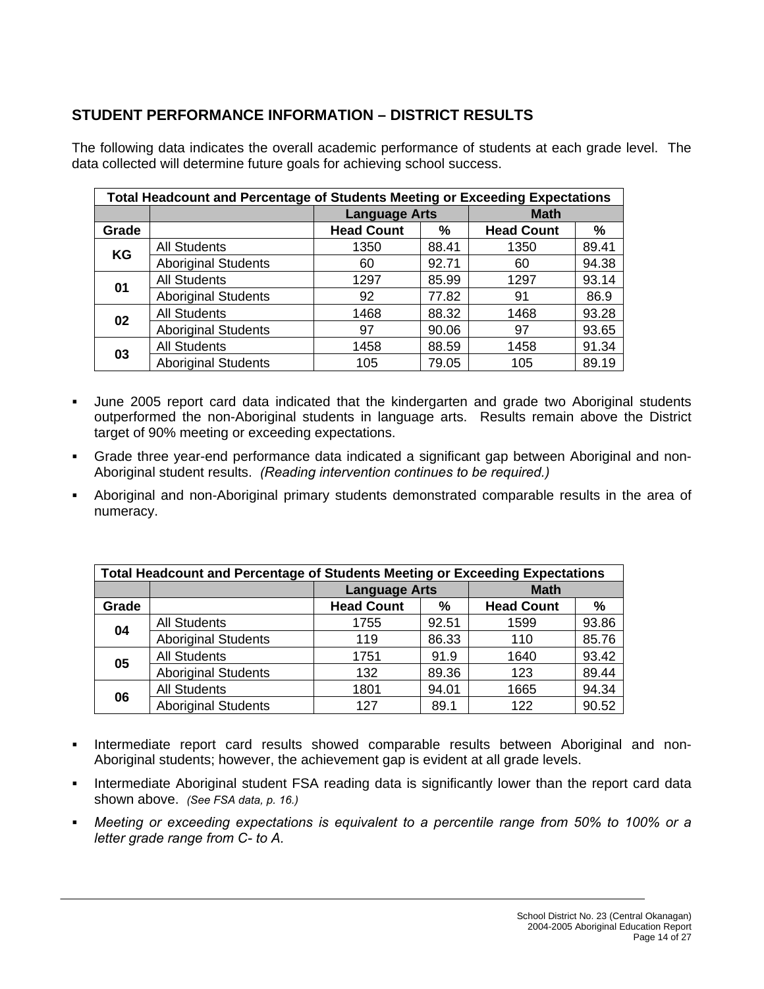# **STUDENT PERFORMANCE INFORMATION – DISTRICT RESULTS**

The following data indicates the overall academic performance of students at each grade level. The data collected will determine future goals for achieving school success.

|           | <b>Total Headcount and Percentage of Students Meeting or Exceeding Expectations</b> |                      |       |                   |       |  |
|-----------|-------------------------------------------------------------------------------------|----------------------|-------|-------------------|-------|--|
|           |                                                                                     | <b>Language Arts</b> |       | <b>Math</b>       |       |  |
| Grade     |                                                                                     | <b>Head Count</b>    | %     | <b>Head Count</b> | %     |  |
| <b>KG</b> | <b>All Students</b>                                                                 | 1350                 | 88.41 | 1350              | 89.41 |  |
|           | <b>Aboriginal Students</b>                                                          | 60                   | 92.71 | 60                | 94.38 |  |
| 01        | <b>All Students</b>                                                                 | 1297                 | 85.99 | 1297              | 93.14 |  |
|           | <b>Aboriginal Students</b>                                                          | 92                   | 77.82 | 91                | 86.9  |  |
| 02        | <b>All Students</b>                                                                 | 1468                 | 88.32 | 1468              | 93.28 |  |
|           | <b>Aboriginal Students</b>                                                          | 97                   | 90.06 | 97                | 93.65 |  |
| 03        | <b>All Students</b>                                                                 | 1458                 | 88.59 | 1458              | 91.34 |  |
|           | <b>Aboriginal Students</b>                                                          | 105                  | 79.05 | 105               | 89.19 |  |

- June 2005 report card data indicated that the kindergarten and grade two Aboriginal students outperformed the non-Aboriginal students in language arts. Results remain above the District target of 90% meeting or exceeding expectations.
- Grade three year-end performance data indicated a significant gap between Aboriginal and non-Aboriginal student results. *(Reading intervention continues to be required.)*
- Aboriginal and non-Aboriginal primary students demonstrated comparable results in the area of numeracy.

| <b>Total Headcount and Percentage of Students Meeting or Exceeding Expectations</b> |                            |                      |       |                   |               |  |
|-------------------------------------------------------------------------------------|----------------------------|----------------------|-------|-------------------|---------------|--|
|                                                                                     |                            | <b>Language Arts</b> |       | <b>Math</b>       |               |  |
| Grade                                                                               |                            | <b>Head Count</b>    | ℅     | <b>Head Count</b> | $\frac{9}{6}$ |  |
| 04                                                                                  | <b>All Students</b>        | 1755                 | 92.51 | 1599              | 93.86         |  |
|                                                                                     | <b>Aboriginal Students</b> | 119                  | 86.33 | 110               | 85.76         |  |
|                                                                                     | <b>All Students</b>        | 1751                 | 91.9  | 1640              | 93.42         |  |
| 05                                                                                  | <b>Aboriginal Students</b> | 132                  | 89.36 | 123               | 89.44         |  |
| 06                                                                                  | <b>All Students</b>        | 1801                 | 94.01 | 1665              | 94.34         |  |
|                                                                                     | <b>Aboriginal Students</b> | 127                  | 89.1  | 122               | 90.52         |  |

- Intermediate report card results showed comparable results between Aboriginal and non-Aboriginal students; however, the achievement gap is evident at all grade levels.
- **Intermediate Aboriginal student FSA reading data is significantly lower than the report card data** shown above. *(See FSA data, p. 16.)*
- *Meeting or exceeding expectations is equivalent to a percentile range from 50% to 100% or a letter grade range from C- to A.*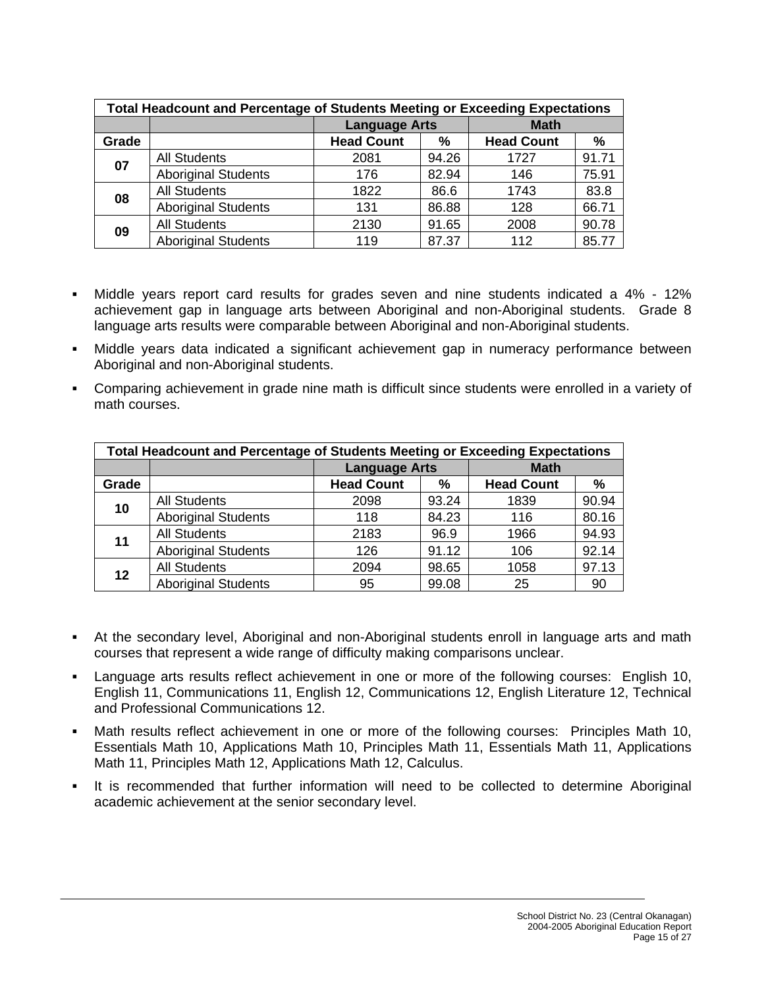| <b>Total Headcount and Percentage of Students Meeting or Exceeding Expectations</b> |                            |                      |       |                   |       |  |
|-------------------------------------------------------------------------------------|----------------------------|----------------------|-------|-------------------|-------|--|
|                                                                                     |                            | <b>Language Arts</b> |       | <b>Math</b>       |       |  |
| Grade                                                                               |                            | <b>Head Count</b>    | ℅     | <b>Head Count</b> | %     |  |
| 07                                                                                  | <b>All Students</b>        | 2081                 | 94.26 | 1727              | 91.71 |  |
|                                                                                     | <b>Aboriginal Students</b> | 176                  | 82.94 | 146               | 75.91 |  |
| 08                                                                                  | <b>All Students</b>        | 1822                 | 86.6  | 1743              | 83.8  |  |
|                                                                                     | <b>Aboriginal Students</b> | 131                  | 86.88 | 128               | 66.71 |  |
| 09                                                                                  | <b>All Students</b>        | 2130                 | 91.65 | 2008              | 90.78 |  |
|                                                                                     | <b>Aboriginal Students</b> | 119                  | 87.37 | 112               | 85.77 |  |

- Middle years report card results for grades seven and nine students indicated a 4% 12% achievement gap in language arts between Aboriginal and non-Aboriginal students. Grade 8 language arts results were comparable between Aboriginal and non-Aboriginal students.
- Middle years data indicated a significant achievement gap in numeracy performance between Aboriginal and non-Aboriginal students.
- Comparing achievement in grade nine math is difficult since students were enrolled in a variety of math courses.

| <b>Total Headcount and Percentage of Students Meeting or Exceeding Expectations</b> |                            |                      |       |                   |               |  |
|-------------------------------------------------------------------------------------|----------------------------|----------------------|-------|-------------------|---------------|--|
|                                                                                     |                            | <b>Language Arts</b> |       | <b>Math</b>       |               |  |
| Grade                                                                               |                            | <b>Head Count</b>    | ℅     | <b>Head Count</b> | $\frac{0}{0}$ |  |
| 10                                                                                  | <b>All Students</b>        | 2098                 | 93.24 | 1839              | 90.94         |  |
|                                                                                     | <b>Aboriginal Students</b> | 118                  | 84.23 | 116               | 80.16         |  |
| 11                                                                                  | <b>All Students</b>        | 2183                 | 96.9  | 1966              | 94.93         |  |
|                                                                                     | <b>Aboriginal Students</b> | 126                  | 91.12 | 106               | 92.14         |  |
| 12                                                                                  | <b>All Students</b>        | 2094                 | 98.65 | 1058              | 97.13         |  |
|                                                                                     | <b>Aboriginal Students</b> | 95                   | 99.08 | 25                | 90            |  |

- At the secondary level, Aboriginal and non-Aboriginal students enroll in language arts and math courses that represent a wide range of difficulty making comparisons unclear.
- Language arts results reflect achievement in one or more of the following courses: English 10, English 11, Communications 11, English 12, Communications 12, English Literature 12, Technical and Professional Communications 12.
- Math results reflect achievement in one or more of the following courses: Principles Math 10, Essentials Math 10, Applications Math 10, Principles Math 11, Essentials Math 11, Applications Math 11, Principles Math 12, Applications Math 12, Calculus.
- It is recommended that further information will need to be collected to determine Aboriginal academic achievement at the senior secondary level.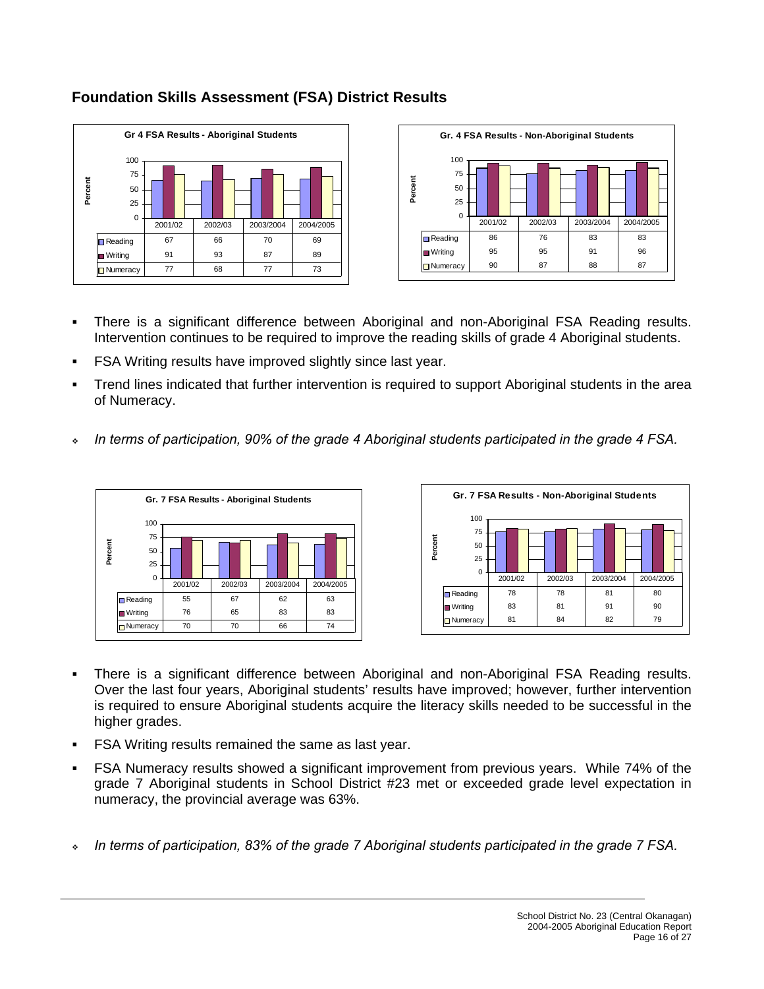



# **Foundation Skills Assessment (FSA) District Results**

- There is a significant difference between Aboriginal and non-Aboriginal FSA Reading results. Intervention continues to be required to improve the reading skills of grade 4 Aboriginal students.
- FSA Writing results have improved slightly since last year.
- Trend lines indicated that further intervention is required to support Aboriginal students in the area of Numeracy.
- *In terms of participation, 90% of the grade 4 Aboriginal students participated in the grade 4 FSA.*





- There is a significant difference between Aboriginal and non-Aboriginal FSA Reading results. Over the last four years, Aboriginal students' results have improved; however, further intervention is required to ensure Aboriginal students acquire the literacy skills needed to be successful in the higher grades.
- FSA Writing results remained the same as last year.
- FSA Numeracy results showed a significant improvement from previous years. While 74% of the grade 7 Aboriginal students in School District #23 met or exceeded grade level expectation in numeracy, the provincial average was 63%.
- *In terms of participation, 83% of the grade 7 Aboriginal students participated in the grade 7 FSA.*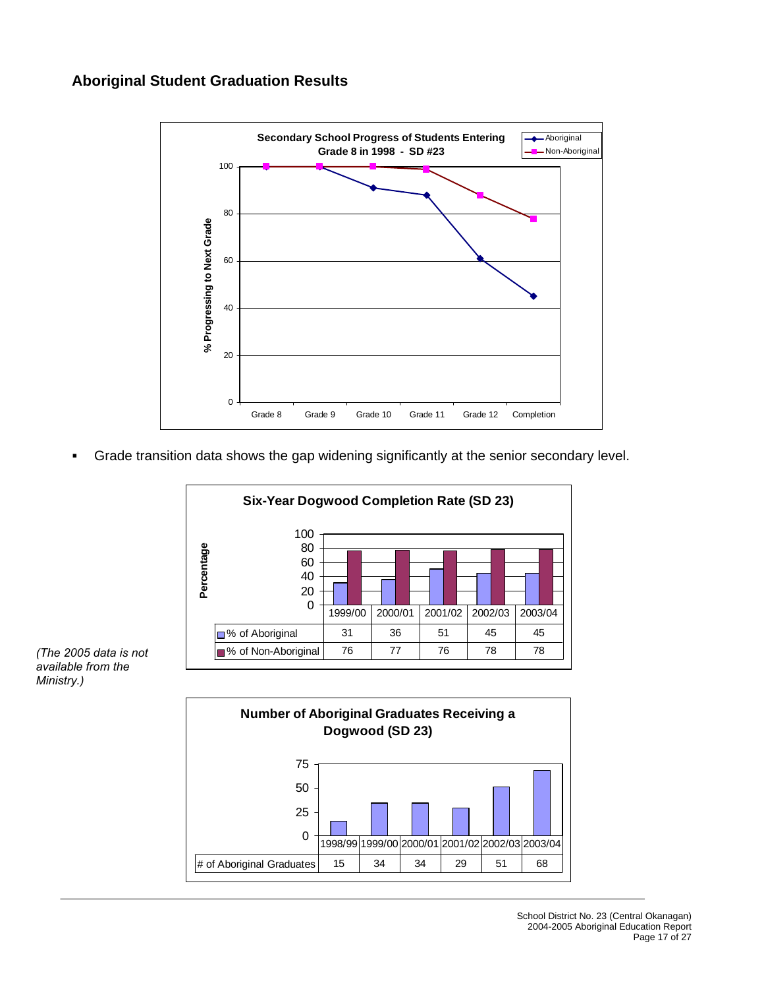#### **Aboriginal Student Graduation Results**



Grade transition data shows the gap widening significantly at the senior secondary level.





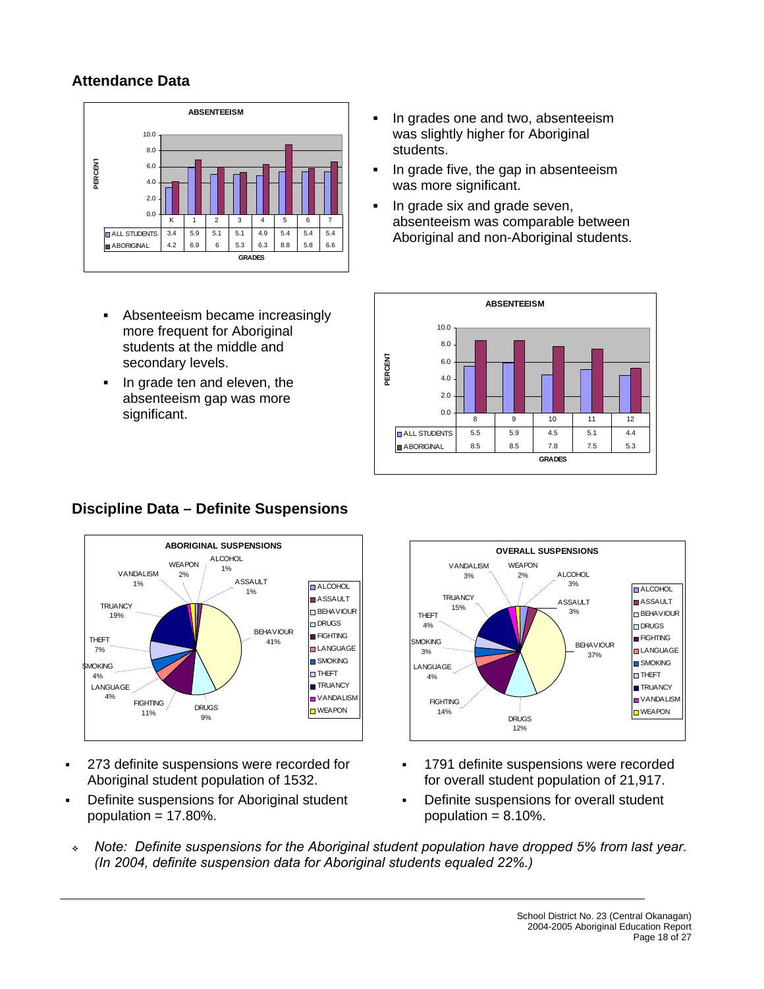# **Attendance Data**



- Absenteeism became increasingly more frequent for Aboriginal students at the middle and secondary levels.
- In grade ten and eleven, the absenteeism gap was more significant.
- In grades one and two, absenteeism was slightly higher for Aboriginal students.
- In grade five, the gap in absenteeism was more significant.
- **IF In grade six and grade seven,** absenteeism was comparable between Aboriginal and non-Aboriginal students.





- 273 definite suspensions were recorded for Aboriginal student population of 1532.
- Definite suspensions for Aboriginal student population  $= 17.80\%$ .



- 1791 definite suspensions were recorded for overall student population of 21,917.
- Definite suspensions for overall student population  $= 8.10\%$ .
- *Note: Definite suspensions for the Aboriginal student population have dropped 5% from last year. (In 2004, definite suspension data for Aboriginal students equaled 22%.)*

# **Discipline Data – Definite Suspensions**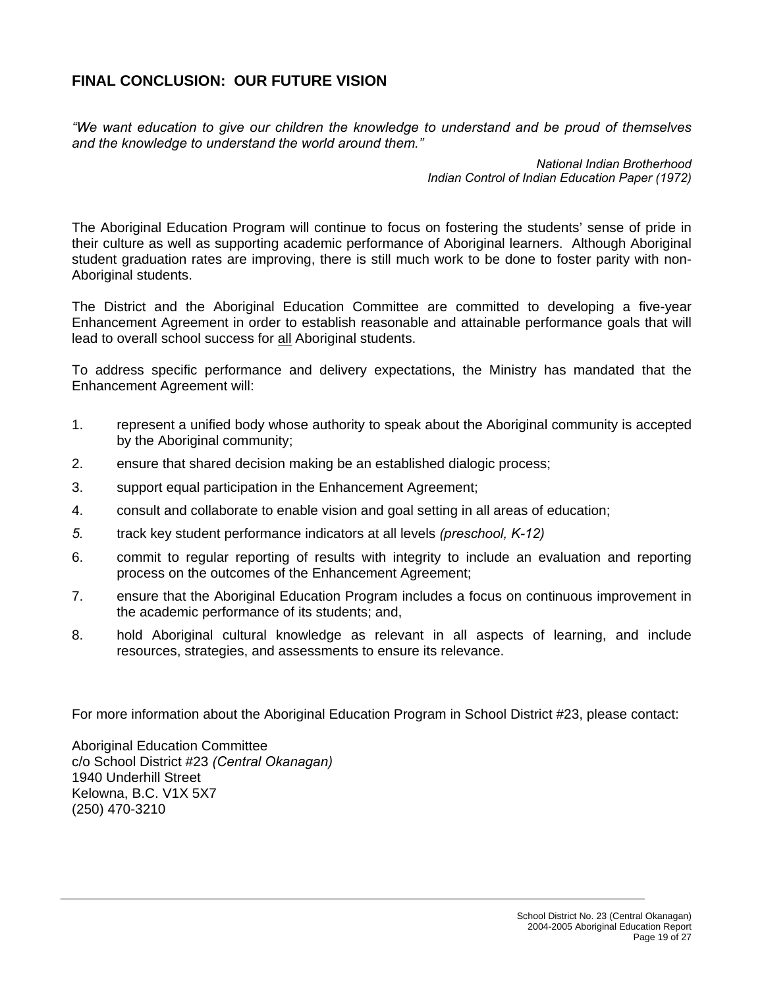# **FINAL CONCLUSION: OUR FUTURE VISION**

*"We want education to give our children the knowledge to understand and be proud of themselves and the knowledge to understand the world around them."* 

> *National Indian Brotherhood Indian Control of Indian Education Paper (1972)*

The Aboriginal Education Program will continue to focus on fostering the students' sense of pride in their culture as well as supporting academic performance of Aboriginal learners. Although Aboriginal student graduation rates are improving, there is still much work to be done to foster parity with non-Aboriginal students.

The District and the Aboriginal Education Committee are committed to developing a five-year Enhancement Agreement in order to establish reasonable and attainable performance goals that will lead to overall school success for all Aboriginal students.

To address specific performance and delivery expectations, the Ministry has mandated that the Enhancement Agreement will:

- 1. represent a unified body whose authority to speak about the Aboriginal community is accepted by the Aboriginal community;
- 2. ensure that shared decision making be an established dialogic process;
- 3. support equal participation in the Enhancement Agreement;
- 4. consult and collaborate to enable vision and goal setting in all areas of education;
- *5.* track key student performance indicators at all levels *(preschool, K-12)*
- 6. commit to regular reporting of results with integrity to include an evaluation and reporting process on the outcomes of the Enhancement Agreement;
- 7. ensure that the Aboriginal Education Program includes a focus on continuous improvement in the academic performance of its students; and,
- 8. hold Aboriginal cultural knowledge as relevant in all aspects of learning, and include resources, strategies, and assessments to ensure its relevance.

For more information about the Aboriginal Education Program in School District #23, please contact:

Aboriginal Education Committee c/o School District #23 *(Central Okanagan)*  1940 Underhill Street Kelowna, B.C. V1X 5X7 (250) 470-3210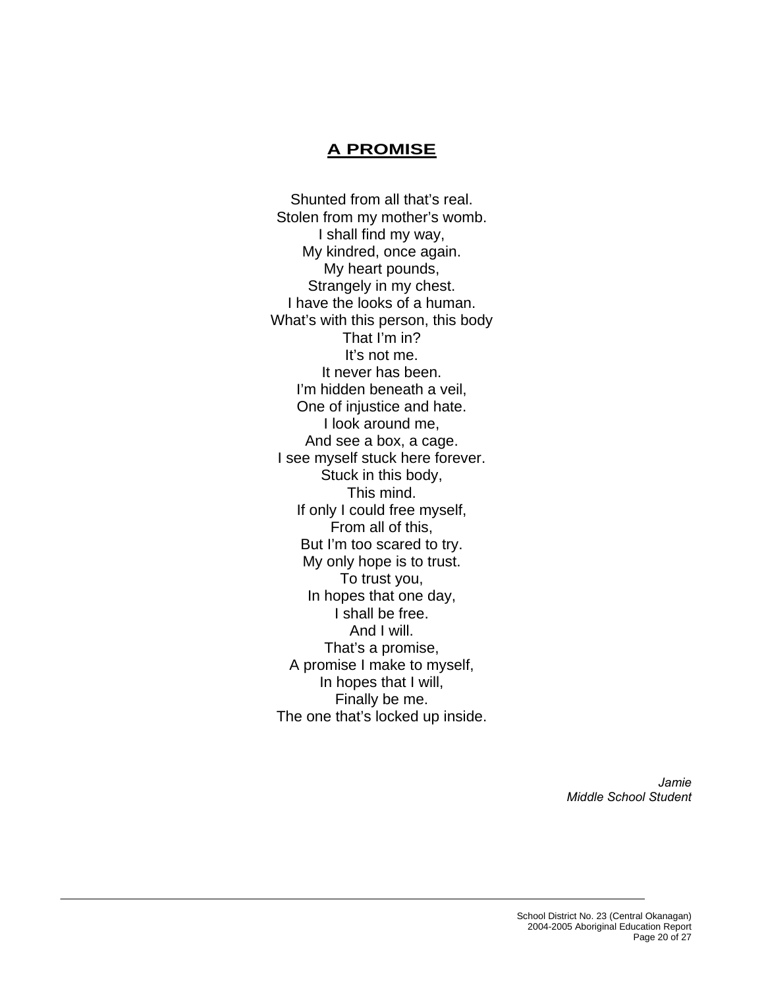# **A PROMISE**

Shunted from all that's real. Stolen from my mother's womb. I shall find my way, My kindred, once again. My heart pounds, Strangely in my chest. I have the looks of a human. What's with this person, this body That I'm in? It's not me. It never has been. I'm hidden beneath a veil, One of injustice and hate. I look around me, And see a box, a cage. I see myself stuck here forever. Stuck in this body, This mind. If only I could free myself, From all of this, But I'm too scared to try. My only hope is to trust. To trust you, In hopes that one day, I shall be free. And I will. That's a promise, A promise I make to myself, In hopes that I will, Finally be me. The one that's locked up inside.

> *Jamie Middle School Student*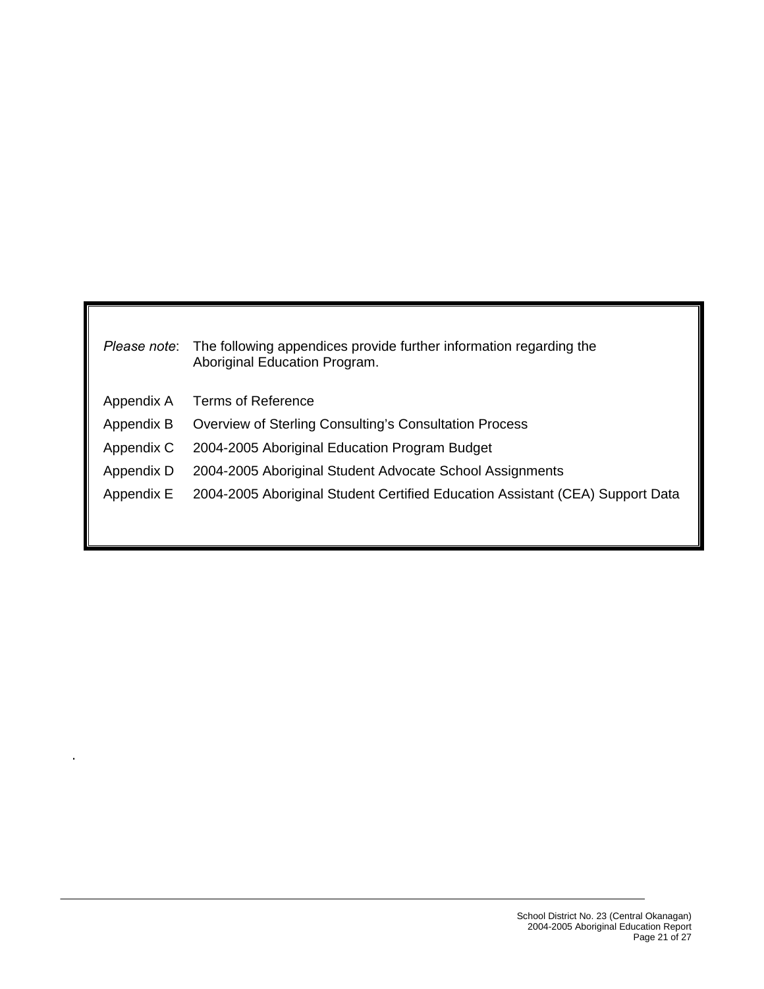| Please note: | The following appendices provide further information regarding the<br>Aboriginal Education Program. |
|--------------|-----------------------------------------------------------------------------------------------------|
| Appendix A   | Terms of Reference                                                                                  |
| Appendix B   | <b>Overview of Sterling Consulting's Consultation Process</b>                                       |
| Appendix C   | 2004-2005 Aboriginal Education Program Budget                                                       |
| Appendix D   | 2004-2005 Aboriginal Student Advocate School Assignments                                            |
| Appendix E   | 2004-2005 Aboriginal Student Certified Education Assistant (CEA) Support Data                       |
|              |                                                                                                     |
|              |                                                                                                     |

.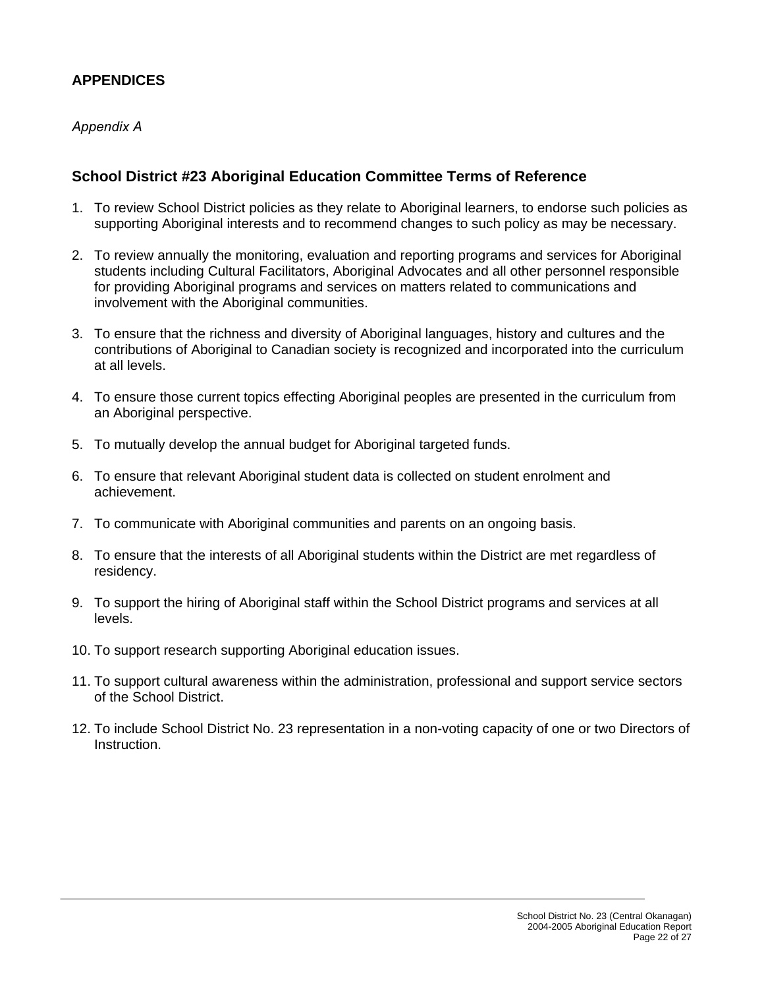# **APPENDICES**

#### *Appendix A*

#### **School District #23 Aboriginal Education Committee Terms of Reference**

- 1. To review School District policies as they relate to Aboriginal learners, to endorse such policies as supporting Aboriginal interests and to recommend changes to such policy as may be necessary.
- 2. To review annually the monitoring, evaluation and reporting programs and services for Aboriginal students including Cultural Facilitators, Aboriginal Advocates and all other personnel responsible for providing Aboriginal programs and services on matters related to communications and involvement with the Aboriginal communities.
- 3. To ensure that the richness and diversity of Aboriginal languages, history and cultures and the contributions of Aboriginal to Canadian society is recognized and incorporated into the curriculum at all levels.
- 4. To ensure those current topics effecting Aboriginal peoples are presented in the curriculum from an Aboriginal perspective.
- 5. To mutually develop the annual budget for Aboriginal targeted funds.
- 6. To ensure that relevant Aboriginal student data is collected on student enrolment and achievement.
- 7. To communicate with Aboriginal communities and parents on an ongoing basis.
- 8. To ensure that the interests of all Aboriginal students within the District are met regardless of residency.
- 9. To support the hiring of Aboriginal staff within the School District programs and services at all levels.
- 10. To support research supporting Aboriginal education issues.
- 11. To support cultural awareness within the administration, professional and support service sectors of the School District.
- 12. To include School District No. 23 representation in a non-voting capacity of one or two Directors of Instruction.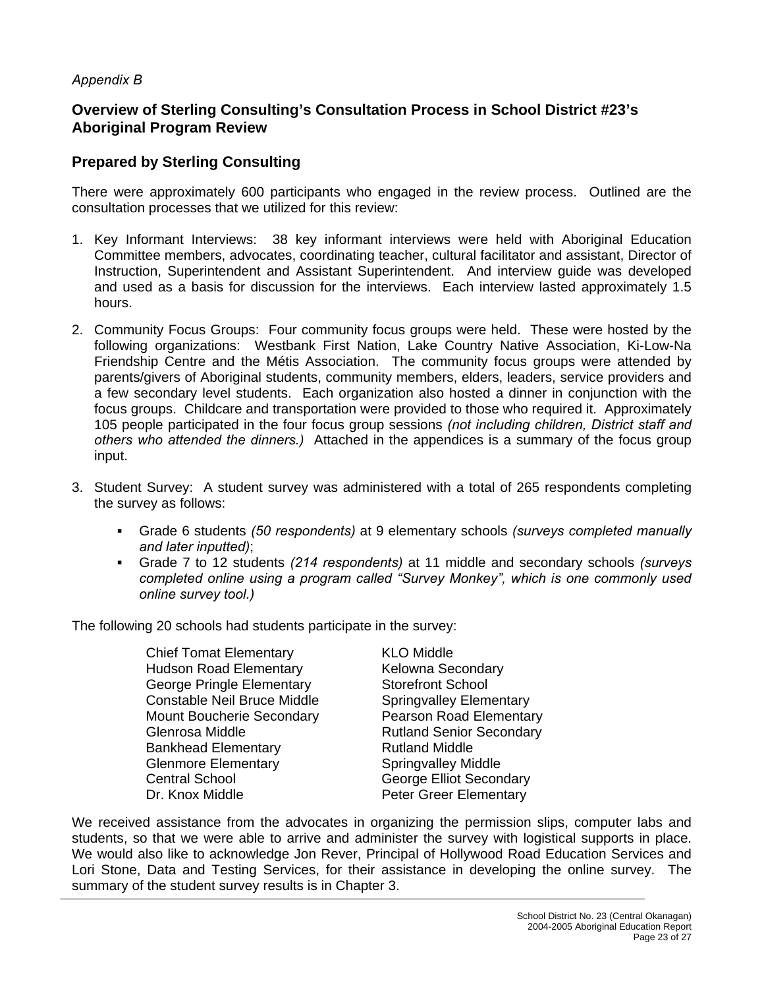#### *Appendix B*

# **Overview of Sterling Consulting's Consultation Process in School District #23's Aboriginal Program Review**

### **Prepared by Sterling Consulting**

There were approximately 600 participants who engaged in the review process. Outlined are the consultation processes that we utilized for this review:

- 1. Key Informant Interviews: 38 key informant interviews were held with Aboriginal Education Committee members, advocates, coordinating teacher, cultural facilitator and assistant, Director of Instruction, Superintendent and Assistant Superintendent. And interview guide was developed and used as a basis for discussion for the interviews. Each interview lasted approximately 1.5 hours.
- 2. Community Focus Groups: Four community focus groups were held. These were hosted by the following organizations: Westbank First Nation, Lake Country Native Association, Ki-Low-Na Friendship Centre and the Métis Association. The community focus groups were attended by parents/givers of Aboriginal students, community members, elders, leaders, service providers and a few secondary level students. Each organization also hosted a dinner in conjunction with the focus groups. Childcare and transportation were provided to those who required it. Approximately 105 people participated in the four focus group sessions *(not including children, District staff and others who attended the dinners.)* Attached in the appendices is a summary of the focus group input.
- 3. Student Survey: A student survey was administered with a total of 265 respondents completing the survey as follows:
	- Grade 6 students *(50 respondents)* at 9 elementary schools *(surveys completed manually and later inputted)*;
	- Grade 7 to 12 students *(214 respondents)* at 11 middle and secondary schools *(surveys completed online using a program called "Survey Monkey", which is one commonly used online survey tool.)*

The following 20 schools had students participate in the survey:

Chief Tomat Elementary KLO Middle Hudson Road Elementary **Kelowna Secondary** George Pringle Elementary Storefront School Constable Neil Bruce Middle Springvalley Elementary Mount Boucherie Secondary **Pearson Road Elementary** Glenrosa Middle **Rutland Senior Secondary** Bankhead Elementary **Rutland Middle** Glenmore Elementary **Springvalley Middle** Central School George Elliot Secondary Dr. Knox Middle **Peter Greer Elementary** 

We received assistance from the advocates in organizing the permission slips, computer labs and students, so that we were able to arrive and administer the survey with logistical supports in place. We would also like to acknowledge Jon Rever, Principal of Hollywood Road Education Services and Lori Stone, Data and Testing Services, for their assistance in developing the online survey. The summary of the student survey results is in Chapter 3.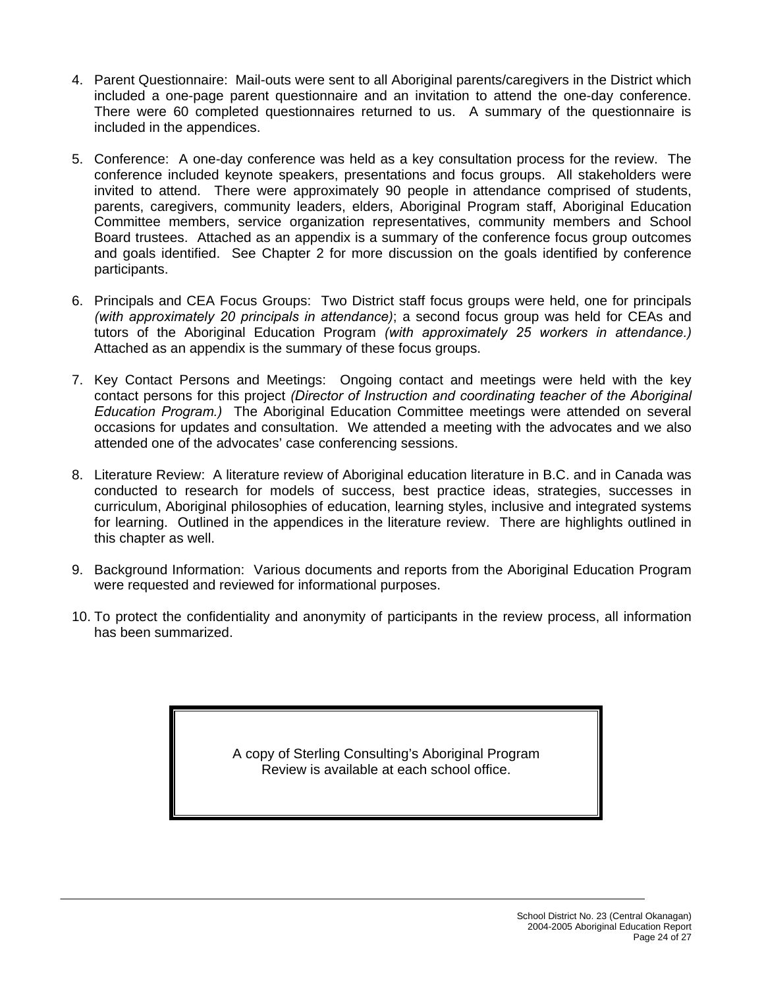- 4. Parent Questionnaire: Mail-outs were sent to all Aboriginal parents/caregivers in the District which included a one-page parent questionnaire and an invitation to attend the one-day conference. There were 60 completed questionnaires returned to us. A summary of the questionnaire is included in the appendices.
- 5. Conference: A one-day conference was held as a key consultation process for the review. The conference included keynote speakers, presentations and focus groups. All stakeholders were invited to attend. There were approximately 90 people in attendance comprised of students, parents, caregivers, community leaders, elders, Aboriginal Program staff, Aboriginal Education Committee members, service organization representatives, community members and School Board trustees. Attached as an appendix is a summary of the conference focus group outcomes and goals identified. See Chapter 2 for more discussion on the goals identified by conference participants.
- 6. Principals and CEA Focus Groups: Two District staff focus groups were held, one for principals *(with approximately 20 principals in attendance)*; a second focus group was held for CEAs and tutors of the Aboriginal Education Program *(with approximately 25 workers in attendance.)* Attached as an appendix is the summary of these focus groups.
- 7. Key Contact Persons and Meetings: Ongoing contact and meetings were held with the key contact persons for this project *(Director of Instruction and coordinating teacher of the Aboriginal Education Program.)* The Aboriginal Education Committee meetings were attended on several occasions for updates and consultation. We attended a meeting with the advocates and we also attended one of the advocates' case conferencing sessions.
- 8. Literature Review: A literature review of Aboriginal education literature in B.C. and in Canada was conducted to research for models of success, best practice ideas, strategies, successes in curriculum, Aboriginal philosophies of education, learning styles, inclusive and integrated systems for learning. Outlined in the appendices in the literature review. There are highlights outlined in this chapter as well.
- 9. Background Information: Various documents and reports from the Aboriginal Education Program were requested and reviewed for informational purposes.
- 10. To protect the confidentiality and anonymity of participants in the review process, all information has been summarized.

A copy of Sterling Consulting's Aboriginal Program Review is available at each school office.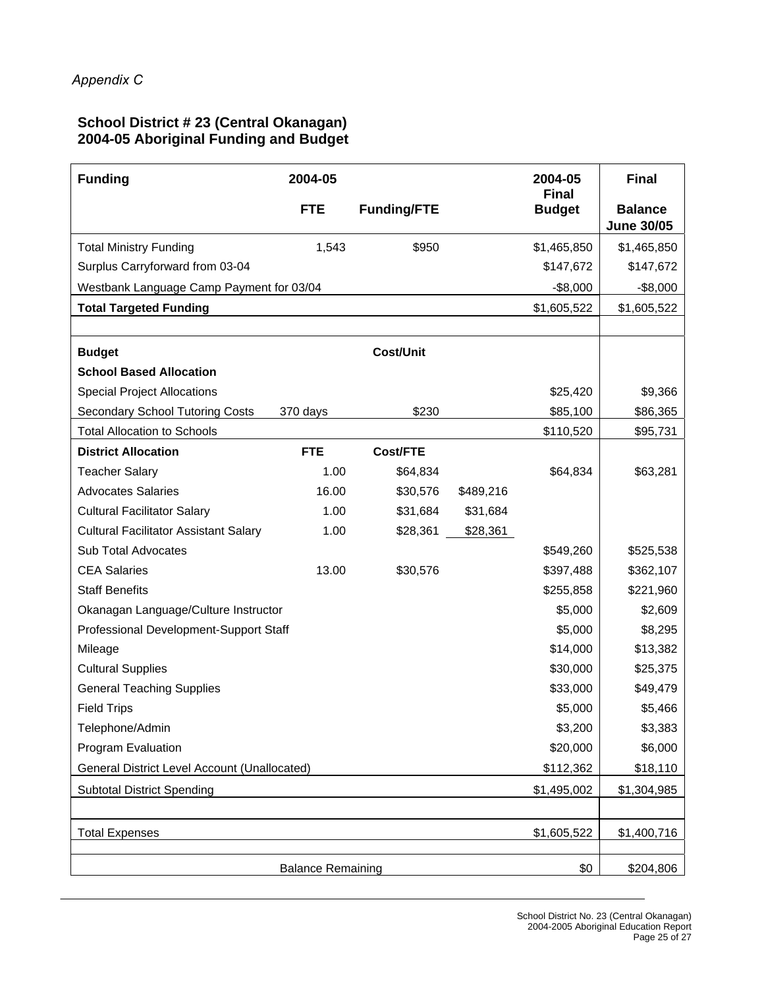#### **School District # 23 (Central Okanagan) 2004-05 Aboriginal Funding and Budget**

| <b>Funding</b>                               | 2004-05                  |                    |           | 2004-05                       | <b>Final</b>                        |
|----------------------------------------------|--------------------------|--------------------|-----------|-------------------------------|-------------------------------------|
|                                              | <b>FTE</b>               | <b>Funding/FTE</b> |           | <b>Final</b><br><b>Budget</b> | <b>Balance</b><br><b>June 30/05</b> |
| <b>Total Ministry Funding</b>                | 1,543                    | \$950              |           | \$1,465,850                   | \$1,465,850                         |
| Surplus Carryforward from 03-04              |                          |                    |           | \$147,672                     | \$147,672                           |
| Westbank Language Camp Payment for 03/04     |                          |                    |           | $-$ \$8,000                   | $-$ \$8,000                         |
| <b>Total Targeted Funding</b>                |                          |                    |           | \$1,605,522                   | \$1,605,522                         |
|                                              |                          |                    |           |                               |                                     |
| <b>Budget</b>                                |                          | <b>Cost/Unit</b>   |           |                               |                                     |
| <b>School Based Allocation</b>               |                          |                    |           |                               |                                     |
| <b>Special Project Allocations</b>           |                          |                    |           | \$25,420                      | \$9,366                             |
| <b>Secondary School Tutoring Costs</b>       | 370 days                 | \$230              |           | \$85,100                      | \$86,365                            |
| <b>Total Allocation to Schools</b>           |                          |                    |           | \$110,520                     | \$95,731                            |
| <b>District Allocation</b>                   | <b>FTE</b>               | Cost/FTE           |           |                               |                                     |
| <b>Teacher Salary</b>                        | 1.00                     | \$64,834           |           | \$64,834                      | \$63,281                            |
| <b>Advocates Salaries</b>                    | 16.00                    | \$30,576           | \$489,216 |                               |                                     |
| <b>Cultural Facilitator Salary</b>           | 1.00                     | \$31,684           | \$31,684  |                               |                                     |
| <b>Cultural Facilitator Assistant Salary</b> | 1.00                     | \$28,361           | \$28,361  |                               |                                     |
| Sub Total Advocates                          |                          |                    |           | \$549,260                     | \$525,538                           |
| <b>CEA Salaries</b>                          | 13.00                    | \$30,576           |           | \$397,488                     | \$362,107                           |
| <b>Staff Benefits</b>                        |                          |                    |           | \$255,858                     | \$221,960                           |
| Okanagan Language/Culture Instructor         |                          |                    |           | \$5,000                       | \$2,609                             |
| Professional Development-Support Staff       |                          |                    |           | \$5,000                       | \$8,295                             |
| Mileage                                      |                          |                    |           | \$14,000                      | \$13,382                            |
| <b>Cultural Supplies</b>                     |                          |                    |           | \$30,000                      | \$25,375                            |
| <b>General Teaching Supplies</b>             |                          |                    |           | \$33,000                      | \$49,479                            |
| <b>Field Trips</b>                           |                          |                    |           | \$5,000                       | \$5,466                             |
| Telephone/Admin                              |                          |                    |           | \$3,200                       | \$3,383                             |
| Program Evaluation                           |                          |                    |           | \$20,000                      | \$6,000                             |
| General District Level Account (Unallocated) |                          |                    |           | \$112,362                     | \$18,110                            |
| <b>Subtotal District Spending</b>            |                          |                    |           | \$1,495,002                   | \$1,304,985                         |
|                                              |                          |                    |           |                               |                                     |
| <b>Total Expenses</b>                        |                          |                    |           | \$1,605,522                   | \$1,400,716                         |
|                                              | <b>Balance Remaining</b> |                    |           | \$0                           | \$204,806                           |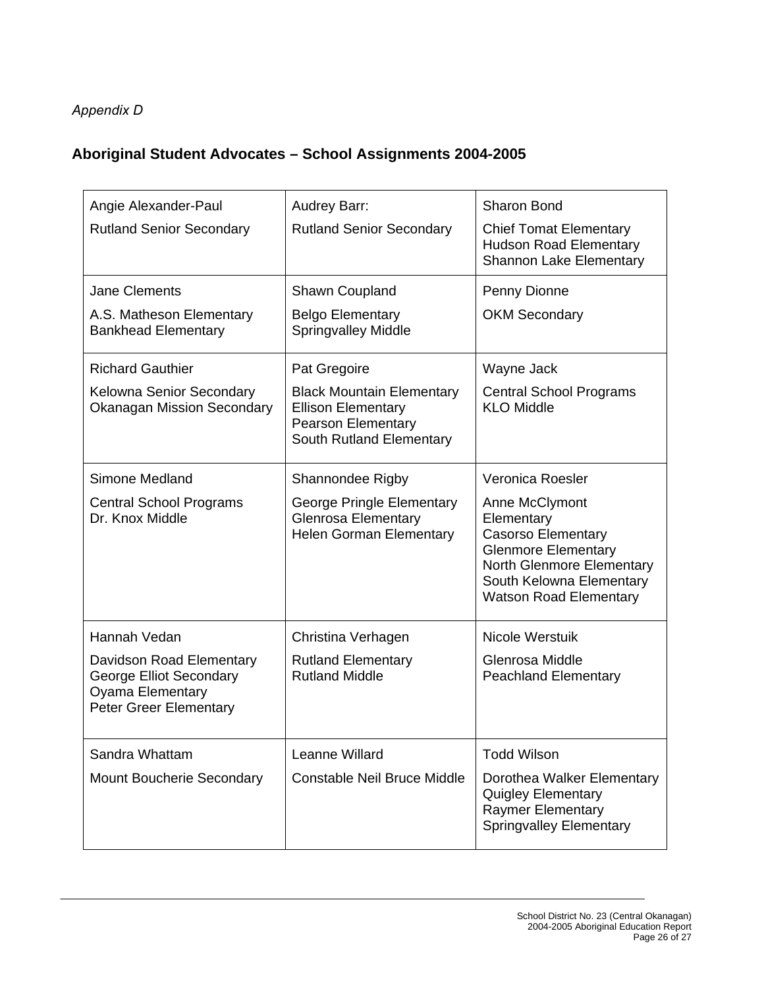# *Appendix D*

# **Aboriginal Student Advocates – School Assignments 2004-2005**

| Angie Alexander-Paul                                                                                            | Audrey Barr:                                                                                                           | <b>Sharon Bond</b>                                                                                                                                                                |
|-----------------------------------------------------------------------------------------------------------------|------------------------------------------------------------------------------------------------------------------------|-----------------------------------------------------------------------------------------------------------------------------------------------------------------------------------|
| <b>Rutland Senior Secondary</b>                                                                                 | <b>Rutland Senior Secondary</b>                                                                                        | <b>Chief Tomat Elementary</b><br><b>Hudson Road Elementary</b><br><b>Shannon Lake Elementary</b>                                                                                  |
| <b>Jane Clements</b>                                                                                            | Shawn Coupland                                                                                                         | Penny Dionne                                                                                                                                                                      |
| A.S. Matheson Elementary<br><b>Bankhead Elementary</b>                                                          | <b>Belgo Elementary</b><br><b>Springvalley Middle</b>                                                                  | <b>OKM Secondary</b>                                                                                                                                                              |
| <b>Richard Gauthier</b>                                                                                         | Pat Gregoire                                                                                                           | Wayne Jack                                                                                                                                                                        |
| Kelowna Senior Secondary<br><b>Okanagan Mission Secondary</b>                                                   | <b>Black Mountain Elementary</b><br><b>Ellison Elementary</b><br><b>Pearson Elementary</b><br>South Rutland Elementary | <b>Central School Programs</b><br><b>KLO Middle</b>                                                                                                                               |
| Simone Medland                                                                                                  | Shannondee Rigby                                                                                                       | Veronica Roesler                                                                                                                                                                  |
| <b>Central School Programs</b><br>Dr. Knox Middle                                                               | George Pringle Elementary<br><b>Glenrosa Elementary</b><br><b>Helen Gorman Elementary</b>                              | Anne McClymont<br>Elementary<br><b>Casorso Elementary</b><br><b>Glenmore Elementary</b><br>North Glenmore Elementary<br>South Kelowna Elementary<br><b>Watson Road Elementary</b> |
| Hannah Vedan                                                                                                    | Christina Verhagen                                                                                                     | Nicole Werstuik                                                                                                                                                                   |
| Davidson Road Elementary<br>George Elliot Secondary<br><b>Oyama Elementary</b><br><b>Peter Greer Elementary</b> | <b>Rutland Elementary</b><br><b>Rutland Middle</b>                                                                     | Glenrosa Middle<br><b>Peachland Elementary</b>                                                                                                                                    |
| Sandra Whattam                                                                                                  | Leanne Willard                                                                                                         | <b>Todd Wilson</b>                                                                                                                                                                |
| Mount Boucherie Secondary                                                                                       | <b>Constable Neil Bruce Middle</b>                                                                                     | Dorothea Walker Elementary<br><b>Quigley Elementary</b><br><b>Raymer Elementary</b><br><b>Springvalley Elementary</b>                                                             |